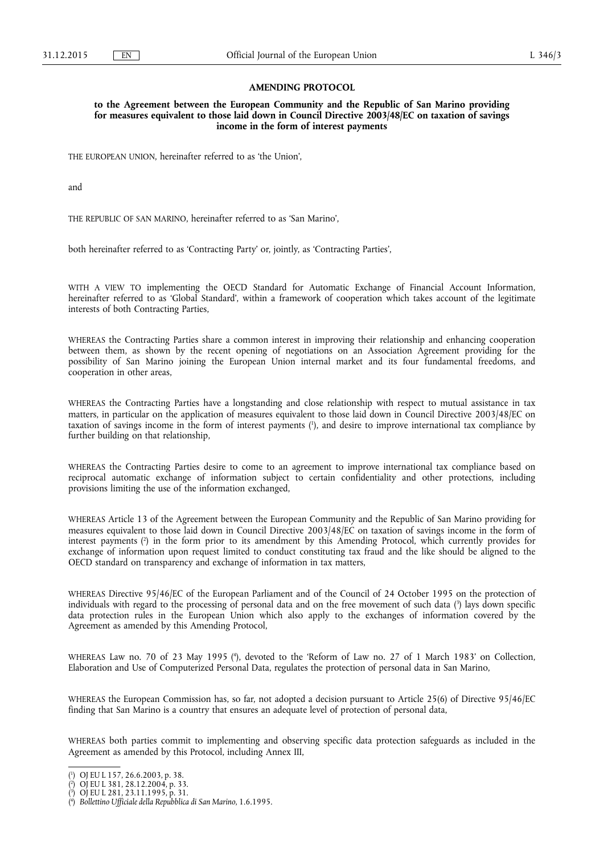# **AMENDING PROTOCOL**

**to the Agreement between the European Community and the Republic of San Marino providing for measures equivalent to those laid down in Council Directive 2003/48/EC on taxation of savings income in the form of interest payments** 

THE EUROPEAN UNION, hereinafter referred to as 'the Union',

and

THE REPUBLIC OF SAN MARINO, hereinafter referred to as 'San Marino',

both hereinafter referred to as 'Contracting Party' or, jointly, as 'Contracting Parties',

WITH A VIEW TO implementing the OECD Standard for Automatic Exchange of Financial Account Information, hereinafter referred to as 'Global Standard', within a framework of cooperation which takes account of the legitimate interests of both Contracting Parties,

WHEREAS the Contracting Parties share a common interest in improving their relationship and enhancing cooperation between them, as shown by the recent opening of negotiations on an Association Agreement providing for the possibility of San Marino joining the European Union internal market and its four fundamental freedoms, and cooperation in other areas,

WHEREAS the Contracting Parties have a longstanding and close relationship with respect to mutual assistance in tax matters, in particular on the application of measures equivalent to those laid down in Council Directive 2003/48/EC on taxation of savings income in the form of interest payments ( 1 ), and desire to improve international tax compliance by further building on that relationship,

WHEREAS the Contracting Parties desire to come to an agreement to improve international tax compliance based on reciprocal automatic exchange of information subject to certain confidentiality and other protections, including provisions limiting the use of the information exchanged,

WHEREAS Article 13 of the Agreement between the European Community and the Republic of San Marino providing for measures equivalent to those laid down in Council Directive 2003/48/EC on taxation of savings income in the form of interest payments ( 2 ) in the form prior to its amendment by this Amending Protocol, which currently provides for exchange of information upon request limited to conduct constituting tax fraud and the like should be aligned to the OECD standard on transparency and exchange of information in tax matters,

WHEREAS Directive 95/46/EC of the European Parliament and of the Council of 24 October 1995 on the protection of individuals with regard to the processing of personal data and on the free movement of such data ( 3 ) lays down specific data protection rules in the European Union which also apply to the exchanges of information covered by the Agreement as amended by this Amending Protocol,

WHEREAS Law no. 70 of 23 May 1995 ( 4 ), devoted to the 'Reform of Law no. 27 of 1 March 1983' on Collection, Elaboration and Use of Computerized Personal Data, regulates the protection of personal data in San Marino,

WHEREAS the European Commission has, so far, not adopted a decision pursuant to Article 25(6) of Directive 95/46/EC finding that San Marino is a country that ensures an adequate level of protection of personal data,

WHEREAS both parties commit to implementing and observing specific data protection safeguards as included in the Agreement as amended by this Protocol, including Annex III,

<sup>(</sup> 1 ) OJ EU L 157, 26.6.2003, p. 38.

<sup>(</sup> 2 ) OJ EU L 381, 28.12.2004, p. 33.

<sup>(</sup> 3 ) OJ EU L 281, 23.11.1995, p. 31.

<sup>(</sup> 4 ) *Bollettino Ufficiale della Repubblica di San Marino*, 1.6.1995.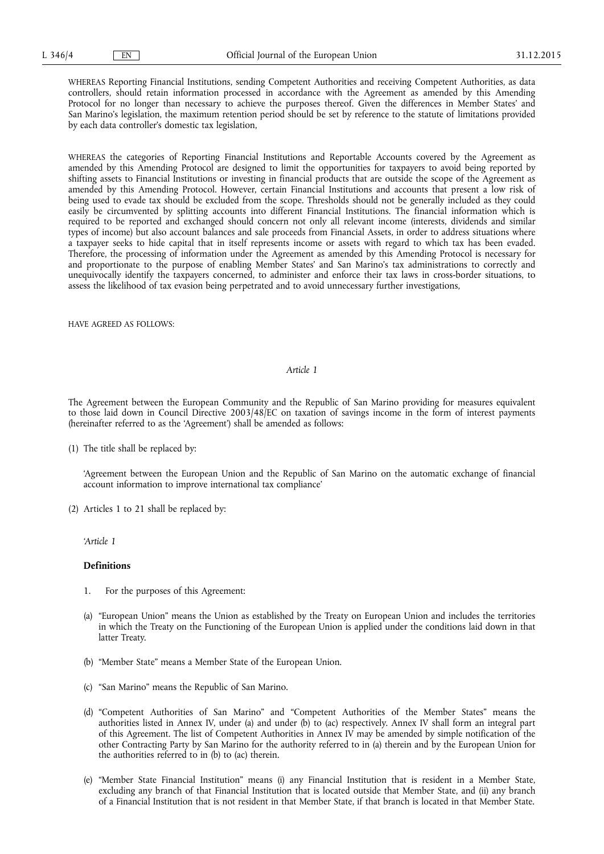WHEREAS Reporting Financial Institutions, sending Competent Authorities and receiving Competent Authorities, as data controllers, should retain information processed in accordance with the Agreement as amended by this Amending Protocol for no longer than necessary to achieve the purposes thereof. Given the differences in Member States' and San Marino's legislation, the maximum retention period should be set by reference to the statute of limitations provided by each data controller's domestic tax legislation,

WHEREAS the categories of Reporting Financial Institutions and Reportable Accounts covered by the Agreement as amended by this Amending Protocol are designed to limit the opportunities for taxpayers to avoid being reported by shifting assets to Financial Institutions or investing in financial products that are outside the scope of the Agreement as amended by this Amending Protocol. However, certain Financial Institutions and accounts that present a low risk of being used to evade tax should be excluded from the scope. Thresholds should not be generally included as they could easily be circumvented by splitting accounts into different Financial Institutions. The financial information which is required to be reported and exchanged should concern not only all relevant income (interests, dividends and similar types of income) but also account balances and sale proceeds from Financial Assets, in order to address situations where a taxpayer seeks to hide capital that in itself represents income or assets with regard to which tax has been evaded. Therefore, the processing of information under the Agreement as amended by this Amending Protocol is necessary for and proportionate to the purpose of enabling Member States' and San Marino's tax administrations to correctly and unequivocally identify the taxpayers concerned, to administer and enforce their tax laws in cross-border situations, to assess the likelihood of tax evasion being perpetrated and to avoid unnecessary further investigations,

HAVE AGREED AS FOLLOWS:

# *Article 1*

The Agreement between the European Community and the Republic of San Marino providing for measures equivalent to those laid down in Council Directive 2003/48/EC on taxation of savings income in the form of interest payments (hereinafter referred to as the 'Agreement') shall be amended as follows:

(1) The title shall be replaced by:

'Agreement between the European Union and the Republic of San Marino on the automatic exchange of financial account information to improve international tax compliance'

(2) Articles 1 to 21 shall be replaced by:

*'Article 1* 

# **Definitions**

- 1. For the purposes of this Agreement:
- (a) "European Union" means the Union as established by the Treaty on European Union and includes the territories in which the Treaty on the Functioning of the European Union is applied under the conditions laid down in that latter Treaty.
- (b) "Member State" means a Member State of the European Union.
- (c) "San Marino" means the Republic of San Marino.
- (d) "Competent Authorities of San Marino" and "Competent Authorities of the Member States" means the authorities listed in Annex IV, under (a) and under (b) to (ac) respectively. Annex IV shall form an integral part of this Agreement. The list of Competent Authorities in Annex IV may be amended by simple notification of the other Contracting Party by San Marino for the authority referred to in (a) therein and by the European Union for the authorities referred to in (b) to (ac) therein.
- (e) "Member State Financial Institution" means (i) any Financial Institution that is resident in a Member State, excluding any branch of that Financial Institution that is located outside that Member State, and (ii) any branch of a Financial Institution that is not resident in that Member State, if that branch is located in that Member State.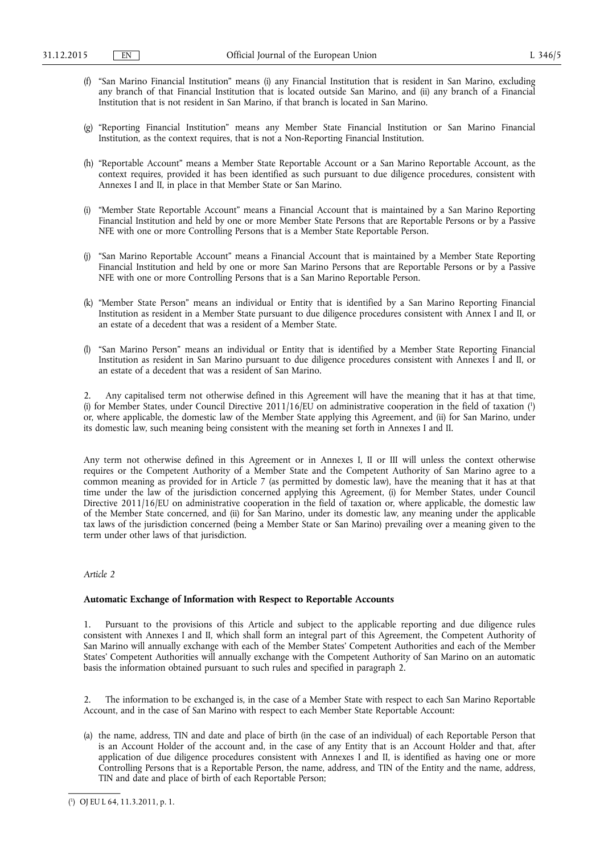- (f) "San Marino Financial Institution" means (i) any Financial Institution that is resident in San Marino, excluding any branch of that Financial Institution that is located outside San Marino, and (ii) any branch of a Financial Institution that is not resident in San Marino, if that branch is located in San Marino.
- (g) "Reporting Financial Institution" means any Member State Financial Institution or San Marino Financial Institution, as the context requires, that is not a Non-Reporting Financial Institution.
- (h) "Reportable Account" means a Member State Reportable Account or a San Marino Reportable Account, as the context requires, provided it has been identified as such pursuant to due diligence procedures, consistent with Annexes I and II, in place in that Member State or San Marino.
- (i) "Member State Reportable Account" means a Financial Account that is maintained by a San Marino Reporting Financial Institution and held by one or more Member State Persons that are Reportable Persons or by a Passive NFE with one or more Controlling Persons that is a Member State Reportable Person.
- (j) "San Marino Reportable Account" means a Financial Account that is maintained by a Member State Reporting Financial Institution and held by one or more San Marino Persons that are Reportable Persons or by a Passive NFE with one or more Controlling Persons that is a San Marino Reportable Person.
- (k) "Member State Person" means an individual or Entity that is identified by a San Marino Reporting Financial Institution as resident in a Member State pursuant to due diligence procedures consistent with Annex I and II, or an estate of a decedent that was a resident of a Member State.
- (l) "San Marino Person" means an individual or Entity that is identified by a Member State Reporting Financial Institution as resident in San Marino pursuant to due diligence procedures consistent with Annexes I and II, or an estate of a decedent that was a resident of San Marino.

2. Any capitalised term not otherwise defined in this Agreement will have the meaning that it has at that time, (i) for Member States, under Council Directive 2011/16/EU on administrative cooperation in the field of taxation  $\binom{1}{1}$ or, where applicable, the domestic law of the Member State applying this Agreement, and (ii) for San Marino, under its domestic law, such meaning being consistent with the meaning set forth in Annexes I and II.

Any term not otherwise defined in this Agreement or in Annexes I, II or III will unless the context otherwise requires or the Competent Authority of a Member State and the Competent Authority of San Marino agree to a common meaning as provided for in Article 7 (as permitted by domestic law), have the meaning that it has at that time under the law of the jurisdiction concerned applying this Agreement, (i) for Member States, under Council Directive 2011/16/EU on administrative cooperation in the field of taxation or, where applicable, the domestic law of the Member State concerned, and (ii) for San Marino, under its domestic law, any meaning under the applicable tax laws of the jurisdiction concerned (being a Member State or San Marino) prevailing over a meaning given to the term under other laws of that jurisdiction.

## *Article 2*

### **Automatic Exchange of Information with Respect to Reportable Accounts**

1. Pursuant to the provisions of this Article and subject to the applicable reporting and due diligence rules consistent with Annexes I and II, which shall form an integral part of this Agreement, the Competent Authority of San Marino will annually exchange with each of the Member States' Competent Authorities and each of the Member States' Competent Authorities will annually exchange with the Competent Authority of San Marino on an automatic basis the information obtained pursuant to such rules and specified in paragraph 2.

2. The information to be exchanged is, in the case of a Member State with respect to each San Marino Reportable Account, and in the case of San Marino with respect to each Member State Reportable Account:

(a) the name, address, TIN and date and place of birth (in the case of an individual) of each Reportable Person that is an Account Holder of the account and, in the case of any Entity that is an Account Holder and that, after application of due diligence procedures consistent with Annexes I and II, is identified as having one or more Controlling Persons that is a Reportable Person, the name, address, and TIN of the Entity and the name, address, TIN and date and place of birth of each Reportable Person;

<sup>(</sup> 1 ) OJ EU L 64, 11.3.2011, p. 1.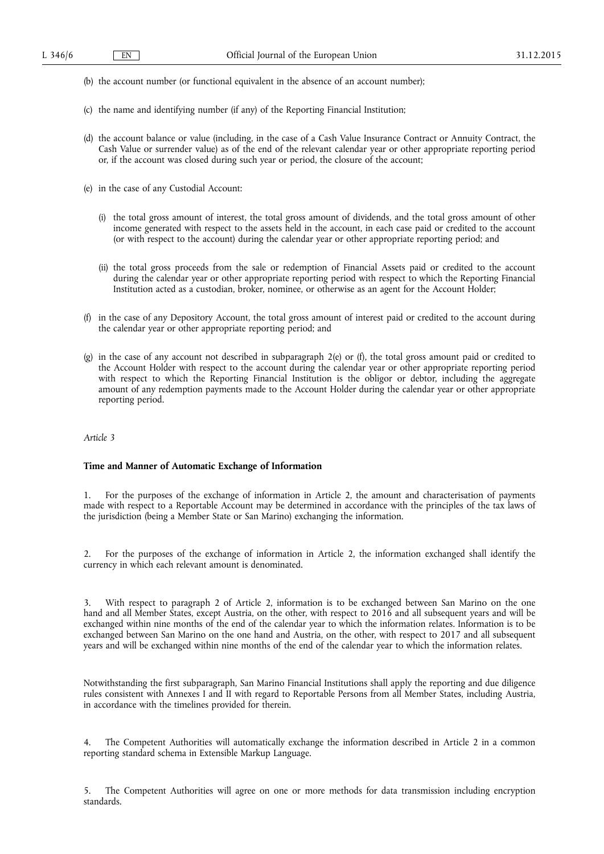- (b) the account number (or functional equivalent in the absence of an account number);
- (c) the name and identifying number (if any) of the Reporting Financial Institution;
- (d) the account balance or value (including, in the case of a Cash Value Insurance Contract or Annuity Contract, the Cash Value or surrender value) as of the end of the relevant calendar year or other appropriate reporting period or, if the account was closed during such year or period, the closure of the account;
- (e) in the case of any Custodial Account:
	- (i) the total gross amount of interest, the total gross amount of dividends, and the total gross amount of other income generated with respect to the assets held in the account, in each case paid or credited to the account (or with respect to the account) during the calendar year or other appropriate reporting period; and
	- (ii) the total gross proceeds from the sale or redemption of Financial Assets paid or credited to the account during the calendar year or other appropriate reporting period with respect to which the Reporting Financial Institution acted as a custodian, broker, nominee, or otherwise as an agent for the Account Holder;
- (f) in the case of any Depository Account, the total gross amount of interest paid or credited to the account during the calendar year or other appropriate reporting period; and
- (g) in the case of any account not described in subparagraph 2(e) or (f), the total gross amount paid or credited to the Account Holder with respect to the account during the calendar year or other appropriate reporting period with respect to which the Reporting Financial Institution is the obligor or debtor, including the aggregate amount of any redemption payments made to the Account Holder during the calendar year or other appropriate reporting period.

## *Article 3*

#### **Time and Manner of Automatic Exchange of Information**

1. For the purposes of the exchange of information in Article 2, the amount and characterisation of payments made with respect to a Reportable Account may be determined in accordance with the principles of the tax laws of the jurisdiction (being a Member State or San Marino) exchanging the information.

2. For the purposes of the exchange of information in Article 2, the information exchanged shall identify the currency in which each relevant amount is denominated.

With respect to paragraph 2 of Article 2, information is to be exchanged between San Marino on the one hand and all Member States, except Austria, on the other, with respect to 2016 and all subsequent years and will be exchanged within nine months of the end of the calendar year to which the information relates. Information is to be exchanged between San Marino on the one hand and Austria, on the other, with respect to 2017 and all subsequent years and will be exchanged within nine months of the end of the calendar year to which the information relates.

Notwithstanding the first subparagraph, San Marino Financial Institutions shall apply the reporting and due diligence rules consistent with Annexes I and II with regard to Reportable Persons from all Member States, including Austria, in accordance with the timelines provided for therein.

4. The Competent Authorities will automatically exchange the information described in Article 2 in a common reporting standard schema in Extensible Markup Language.

5. The Competent Authorities will agree on one or more methods for data transmission including encryption standards.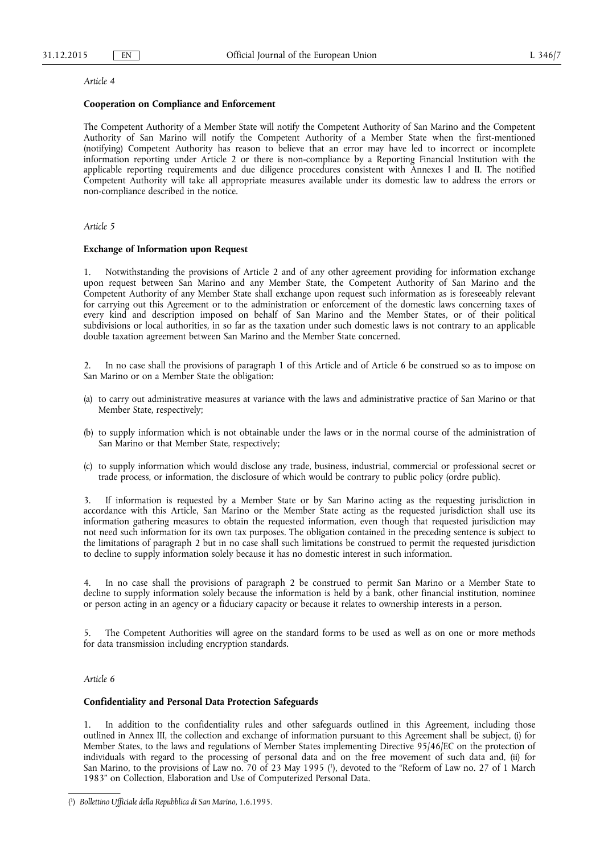# *Article 4*

# **Cooperation on Compliance and Enforcement**

The Competent Authority of a Member State will notify the Competent Authority of San Marino and the Competent Authority of San Marino will notify the Competent Authority of a Member State when the first-mentioned (notifying) Competent Authority has reason to believe that an error may have led to incorrect or incomplete information reporting under Article 2 or there is non-compliance by a Reporting Financial Institution with the applicable reporting requirements and due diligence procedures consistent with Annexes I and II. The notified Competent Authority will take all appropriate measures available under its domestic law to address the errors or non-compliance described in the notice.

## *Article 5*

# **Exchange of Information upon Request**

1. Notwithstanding the provisions of Article 2 and of any other agreement providing for information exchange upon request between San Marino and any Member State, the Competent Authority of San Marino and the Competent Authority of any Member State shall exchange upon request such information as is foreseeably relevant for carrying out this Agreement or to the administration or enforcement of the domestic laws concerning taxes of every kind and description imposed on behalf of San Marino and the Member States, or of their political subdivisions or local authorities, in so far as the taxation under such domestic laws is not contrary to an applicable double taxation agreement between San Marino and the Member State concerned.

2. In no case shall the provisions of paragraph 1 of this Article and of Article 6 be construed so as to impose on San Marino or on a Member State the obligation:

- (a) to carry out administrative measures at variance with the laws and administrative practice of San Marino or that Member State, respectively;
- (b) to supply information which is not obtainable under the laws or in the normal course of the administration of San Marino or that Member State, respectively;
- (c) to supply information which would disclose any trade, business, industrial, commercial or professional secret or trade process, or information, the disclosure of which would be contrary to public policy (ordre public).

3. If information is requested by a Member State or by San Marino acting as the requesting jurisdiction in accordance with this Article, San Marino or the Member State acting as the requested jurisdiction shall use its information gathering measures to obtain the requested information, even though that requested jurisdiction may not need such information for its own tax purposes. The obligation contained in the preceding sentence is subject to the limitations of paragraph 2 but in no case shall such limitations be construed to permit the requested jurisdiction to decline to supply information solely because it has no domestic interest in such information.

4. In no case shall the provisions of paragraph 2 be construed to permit San Marino or a Member State to decline to supply information solely because the information is held by a bank, other financial institution, nominee or person acting in an agency or a fiduciary capacity or because it relates to ownership interests in a person.

5. The Competent Authorities will agree on the standard forms to be used as well as on one or more methods for data transmission including encryption standards.

### *Article 6*

# **Confidentiality and Personal Data Protection Safeguards**

1. In addition to the confidentiality rules and other safeguards outlined in this Agreement, including those outlined in Annex III, the collection and exchange of information pursuant to this Agreement shall be subject, (i) for Member States, to the laws and regulations of Member States implementing Directive 95/46/EC on the protection of individuals with regard to the processing of personal data and on the free movement of such data and, (ii) for San Marino, to the provisions of Law no. 70 of 23 May 1995 ( 1 ), devoted to the "Reform of Law no. 27 of 1 March 1983" on Collection, Elaboration and Use of Computerized Personal Data.

<sup>(</sup> 1 ) *Bollettino Ufficiale della Repubblica di San Marino*, 1.6.1995.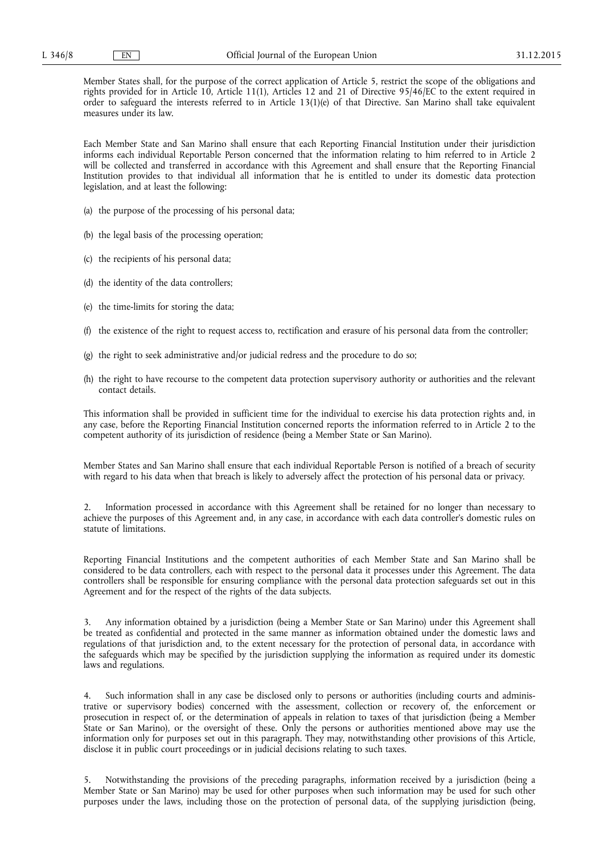Member States shall, for the purpose of the correct application of Article 5, restrict the scope of the obligations and rights provided for in Article 10, Article 11(1), Articles 12 and 21 of Directive 95/46/EC to the extent required in order to safeguard the interests referred to in Article 13(1)(e) of that Directive. San Marino shall take equivalent measures under its law.

Each Member State and San Marino shall ensure that each Reporting Financial Institution under their jurisdiction informs each individual Reportable Person concerned that the information relating to him referred to in Article 2 will be collected and transferred in accordance with this Agreement and shall ensure that the Reporting Financial Institution provides to that individual all information that he is entitled to under its domestic data protection legislation, and at least the following:

- (a) the purpose of the processing of his personal data;
- (b) the legal basis of the processing operation;
- (c) the recipients of his personal data;
- (d) the identity of the data controllers;
- (e) the time-limits for storing the data;
- (f) the existence of the right to request access to, rectification and erasure of his personal data from the controller;
- (g) the right to seek administrative and/or judicial redress and the procedure to do so;
- (h) the right to have recourse to the competent data protection supervisory authority or authorities and the relevant contact details.

This information shall be provided in sufficient time for the individual to exercise his data protection rights and, in any case, before the Reporting Financial Institution concerned reports the information referred to in Article 2 to the competent authority of its jurisdiction of residence (being a Member State or San Marino).

Member States and San Marino shall ensure that each individual Reportable Person is notified of a breach of security with regard to his data when that breach is likely to adversely affect the protection of his personal data or privacy.

2. Information processed in accordance with this Agreement shall be retained for no longer than necessary to achieve the purposes of this Agreement and, in any case, in accordance with each data controller's domestic rules on statute of limitations.

Reporting Financial Institutions and the competent authorities of each Member State and San Marino shall be considered to be data controllers, each with respect to the personal data it processes under this Agreement. The data controllers shall be responsible for ensuring compliance with the personal data protection safeguards set out in this Agreement and for the respect of the rights of the data subjects.

3. Any information obtained by a jurisdiction (being a Member State or San Marino) under this Agreement shall be treated as confidential and protected in the same manner as information obtained under the domestic laws and regulations of that jurisdiction and, to the extent necessary for the protection of personal data, in accordance with the safeguards which may be specified by the jurisdiction supplying the information as required under its domestic laws and regulations.

4. Such information shall in any case be disclosed only to persons or authorities (including courts and administrative or supervisory bodies) concerned with the assessment, collection or recovery of, the enforcement or prosecution in respect of, or the determination of appeals in relation to taxes of that jurisdiction (being a Member State or San Marino), or the oversight of these. Only the persons or authorities mentioned above may use the information only for purposes set out in this paragraph. They may, notwithstanding other provisions of this Article, disclose it in public court proceedings or in judicial decisions relating to such taxes.

5. Notwithstanding the provisions of the preceding paragraphs, information received by a jurisdiction (being a Member State or San Marino) may be used for other purposes when such information may be used for such other purposes under the laws, including those on the protection of personal data, of the supplying jurisdiction (being,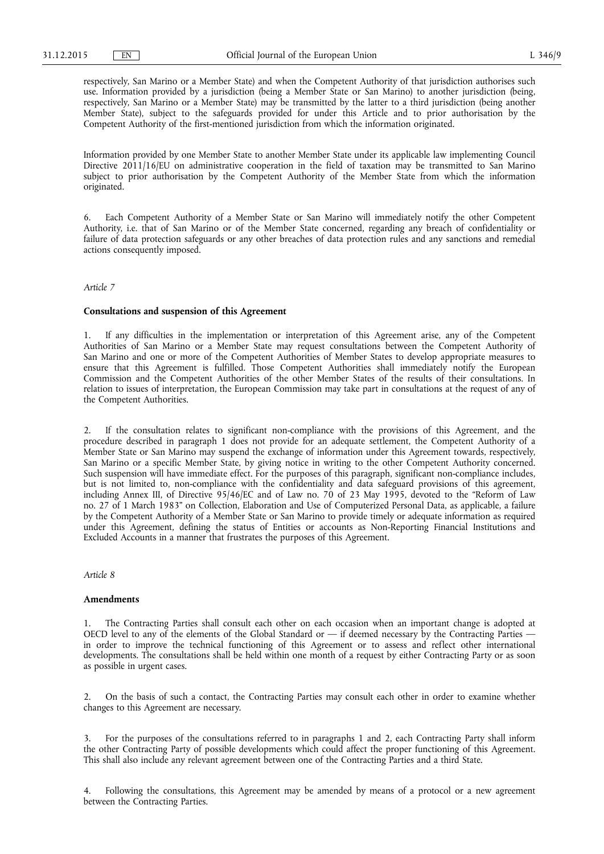respectively, San Marino or a Member State) and when the Competent Authority of that jurisdiction authorises such use. Information provided by a jurisdiction (being a Member State or San Marino) to another jurisdiction (being, respectively, San Marino or a Member State) may be transmitted by the latter to a third jurisdiction (being another Member State), subject to the safeguards provided for under this Article and to prior authorisation by the Competent Authority of the first-mentioned jurisdiction from which the information originated.

Information provided by one Member State to another Member State under its applicable law implementing Council Directive 2011/16/EU on administrative cooperation in the field of taxation may be transmitted to San Marino subject to prior authorisation by the Competent Authority of the Member State from which the information originated.

6. Each Competent Authority of a Member State or San Marino will immediately notify the other Competent Authority, i.e. that of San Marino or of the Member State concerned, regarding any breach of confidentiality or failure of data protection safeguards or any other breaches of data protection rules and any sanctions and remedial actions consequently imposed.

### *Article 7*

#### **Consultations and suspension of this Agreement**

1. If any difficulties in the implementation or interpretation of this Agreement arise, any of the Competent Authorities of San Marino or a Member State may request consultations between the Competent Authority of San Marino and one or more of the Competent Authorities of Member States to develop appropriate measures to ensure that this Agreement is fulfilled. Those Competent Authorities shall immediately notify the European Commission and the Competent Authorities of the other Member States of the results of their consultations. In relation to issues of interpretation, the European Commission may take part in consultations at the request of any of the Competent Authorities.

2. If the consultation relates to significant non-compliance with the provisions of this Agreement, and the procedure described in paragraph 1 does not provide for an adequate settlement, the Competent Authority of a Member State or San Marino may suspend the exchange of information under this Agreement towards, respectively, San Marino or a specific Member State, by giving notice in writing to the other Competent Authority concerned. Such suspension will have immediate effect. For the purposes of this paragraph, significant non-compliance includes, but is not limited to, non-compliance with the confidentiality and data safeguard provisions of this agreement, including Annex III, of Directive 95/46/EC and of Law no. 70 of 23 May 1995, devoted to the "Reform of Law no. 27 of 1 March 1983" on Collection, Elaboration and Use of Computerized Personal Data, as applicable, a failure by the Competent Authority of a Member State or San Marino to provide timely or adequate information as required under this Agreement, defining the status of Entities or accounts as Non-Reporting Financial Institutions and Excluded Accounts in a manner that frustrates the purposes of this Agreement.

*Article 8* 

#### **Amendments**

1. The Contracting Parties shall consult each other on each occasion when an important change is adopted at OECD level to any of the elements of the Global Standard or — if deemed necessary by the Contracting Parties in order to improve the technical functioning of this Agreement or to assess and reflect other international developments. The consultations shall be held within one month of a request by either Contracting Party or as soon as possible in urgent cases.

2. On the basis of such a contact, the Contracting Parties may consult each other in order to examine whether changes to this Agreement are necessary.

3. For the purposes of the consultations referred to in paragraphs 1 and 2, each Contracting Party shall inform the other Contracting Party of possible developments which could affect the proper functioning of this Agreement. This shall also include any relevant agreement between one of the Contracting Parties and a third State.

4. Following the consultations, this Agreement may be amended by means of a protocol or a new agreement between the Contracting Parties.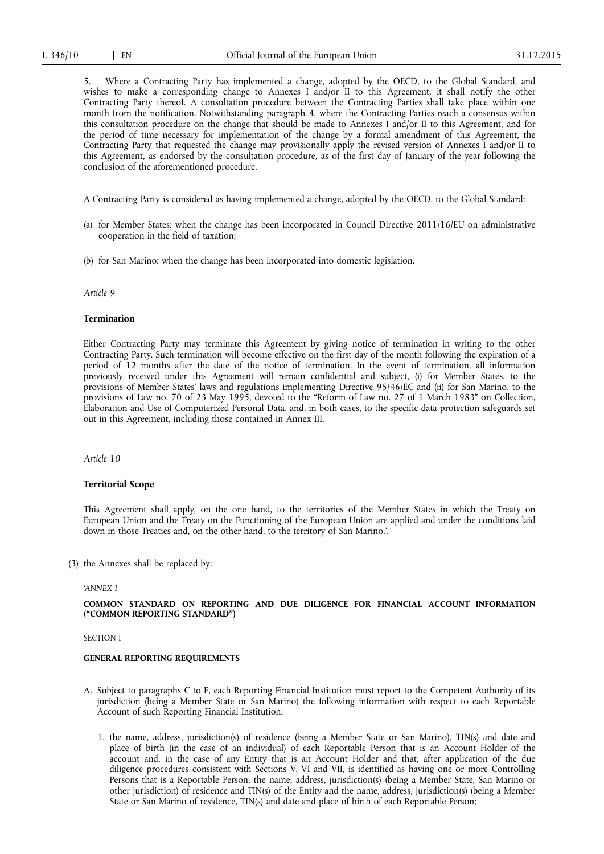5. Where a Contracting Party has implemented a change, adopted by the OECD, to the Global Standard, and wishes to make a corresponding change to Annexes I and/or II to this Agreement, it shall notify the other Contracting Party thereof. A consultation procedure between the Contracting Parties shall take place within one month from the notification. Notwithstanding paragraph 4, where the Contracting Parties reach a consensus within this consultation procedure on the change that should be made to Annexes I and/or II to this Agreement, and for the period of time necessary for implementation of the change by a formal amendment of this Agreement, the Contracting Party that requested the change may provisionally apply the revised version of Annexes I and/or II to this Agreement, as endorsed by the consultation procedure, as of the first day of January of the year following the conclusion of the aforementioned procedure.

A Contracting Party is considered as having implemented a change, adopted by the OECD, to the Global Standard:

- (a) for Member States: when the change has been incorporated in Council Directive 2011/16/EU on administrative cooperation in the field of taxation;
- (b) for San Marino: when the change has been incorporated into domestic legislation.

*Article 9* 

#### **Termination**

Either Contracting Party may terminate this Agreement by giving notice of termination in writing to the other Contracting Party. Such termination will become effective on the first day of the month following the expiration of a period of 12 months after the date of the notice of termination. In the event of termination, all information previously received under this Agreement will remain confidential and subject, (i) for Member States, to the provisions of Member States' laws and regulations implementing Directive 95/46/EC and (ii) for San Marino, to the provisions of Law no. 70 of 23 May 1995, devoted to the "Reform of Law no. 27 of 1 March 1983" on Collection, Elaboration and Use of Computerized Personal Data, and, in both cases, to the specific data protection safeguards set out in this Agreement, including those contained in Annex III.

*Article 10* 

# **Territorial Scope**

This Agreement shall apply, on the one hand, to the territories of the Member States in which the Treaty on European Union and the Treaty on the Functioning of the European Union are applied and under the conditions laid down in those Treaties and, on the other hand, to the territory of San Marino.'.

(3) the Annexes shall be replaced by:

#### *'ANNEX I*

**COMMON STANDARD ON REPORTING AND DUE DILIGENCE FOR FINANCIAL ACCOUNT INFORMATION ("COMMON REPORTING STANDARD")** 

# SECTION I

# **GENERAL REPORTING REQUIREMENTS**

- A. Subject to paragraphs C to E, each Reporting Financial Institution must report to the Competent Authority of its jurisdiction (being a Member State or San Marino) the following information with respect to each Reportable Account of such Reporting Financial Institution:
	- 1. the name, address, jurisdiction(s) of residence (being a Member State or San Marino), TIN(s) and date and place of birth (in the case of an individual) of each Reportable Person that is an Account Holder of the account and, in the case of any Entity that is an Account Holder and that, after application of the due diligence procedures consistent with Sections V, VI and VII, is identified as having one or more Controlling Persons that is a Reportable Person, the name, address, jurisdiction(s) (being a Member State, San Marino or other jurisdiction) of residence and TIN(s) of the Entity and the name, address, jurisdiction(s) (being a Member State or San Marino of residence, TIN(s) and date and place of birth of each Reportable Person;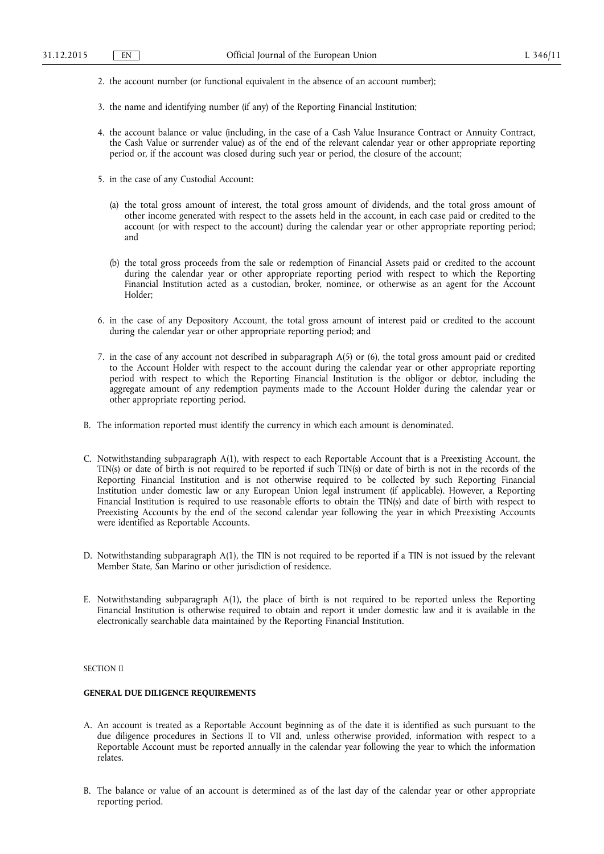- 2. the account number (or functional equivalent in the absence of an account number);
- 3. the name and identifying number (if any) of the Reporting Financial Institution;
- 4. the account balance or value (including, in the case of a Cash Value Insurance Contract or Annuity Contract, the Cash Value or surrender value) as of the end of the relevant calendar year or other appropriate reporting period or, if the account was closed during such year or period, the closure of the account;
- 5. in the case of any Custodial Account:
	- (a) the total gross amount of interest, the total gross amount of dividends, and the total gross amount of other income generated with respect to the assets held in the account, in each case paid or credited to the account (or with respect to the account) during the calendar year or other appropriate reporting period; and
	- (b) the total gross proceeds from the sale or redemption of Financial Assets paid or credited to the account during the calendar year or other appropriate reporting period with respect to which the Reporting Financial Institution acted as a custodian, broker, nominee, or otherwise as an agent for the Account Holder;
- 6. in the case of any Depository Account, the total gross amount of interest paid or credited to the account during the calendar year or other appropriate reporting period; and
- 7. in the case of any account not described in subparagraph A(5) or (6), the total gross amount paid or credited to the Account Holder with respect to the account during the calendar year or other appropriate reporting period with respect to which the Reporting Financial Institution is the obligor or debtor, including the aggregate amount of any redemption payments made to the Account Holder during the calendar year or other appropriate reporting period.
- B. The information reported must identify the currency in which each amount is denominated.
- C. Notwithstanding subparagraph A(1), with respect to each Reportable Account that is a Preexisting Account, the TIN(s) or date of birth is not required to be reported if such TIN(s) or date of birth is not in the records of the Reporting Financial Institution and is not otherwise required to be collected by such Reporting Financial Institution under domestic law or any European Union legal instrument (if applicable). However, a Reporting Financial Institution is required to use reasonable efforts to obtain the TIN(s) and date of birth with respect to Preexisting Accounts by the end of the second calendar year following the year in which Preexisting Accounts were identified as Reportable Accounts.
- D. Notwithstanding subparagraph A(1), the TIN is not required to be reported if a TIN is not issued by the relevant Member State, San Marino or other jurisdiction of residence.
- E. Notwithstanding subparagraph A(1), the place of birth is not required to be reported unless the Reporting Financial Institution is otherwise required to obtain and report it under domestic law and it is available in the electronically searchable data maintained by the Reporting Financial Institution.

#### SECTION II

# **GENERAL DUE DILIGENCE REQUIREMENTS**

- A. An account is treated as a Reportable Account beginning as of the date it is identified as such pursuant to the due diligence procedures in Sections II to VII and, unless otherwise provided, information with respect to a Reportable Account must be reported annually in the calendar year following the year to which the information relates.
- B. The balance or value of an account is determined as of the last day of the calendar year or other appropriate reporting period.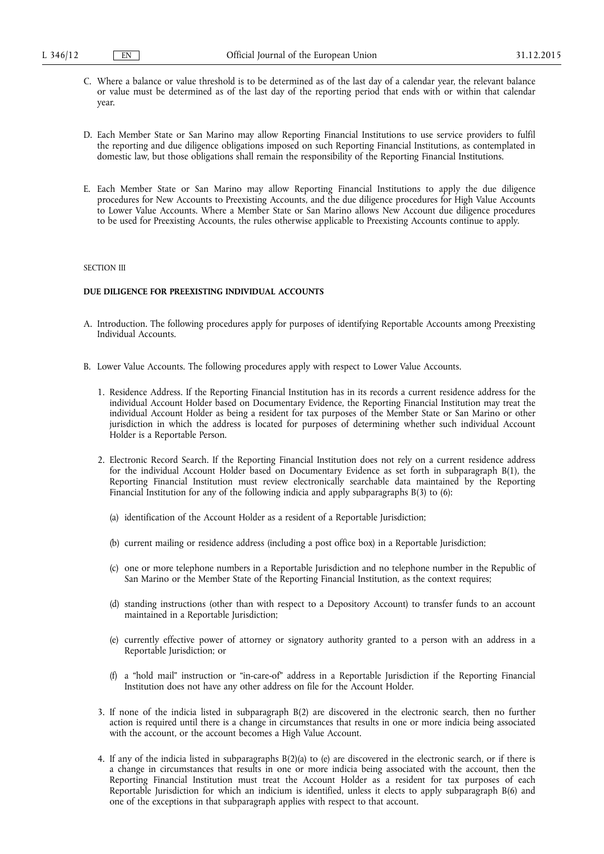- C. Where a balance or value threshold is to be determined as of the last day of a calendar year, the relevant balance or value must be determined as of the last day of the reporting period that ends with or within that calendar year.
- D. Each Member State or San Marino may allow Reporting Financial Institutions to use service providers to fulfil the reporting and due diligence obligations imposed on such Reporting Financial Institutions, as contemplated in domestic law, but those obligations shall remain the responsibility of the Reporting Financial Institutions.
- E. Each Member State or San Marino may allow Reporting Financial Institutions to apply the due diligence procedures for New Accounts to Preexisting Accounts, and the due diligence procedures for High Value Accounts to Lower Value Accounts. Where a Member State or San Marino allows New Account due diligence procedures to be used for Preexisting Accounts, the rules otherwise applicable to Preexisting Accounts continue to apply.

#### SECTION III

# **DUE DILIGENCE FOR PREEXISTING INDIVIDUAL ACCOUNTS**

- A. Introduction. The following procedures apply for purposes of identifying Reportable Accounts among Preexisting Individual Accounts.
- B. Lower Value Accounts. The following procedures apply with respect to Lower Value Accounts.
	- 1. Residence Address. If the Reporting Financial Institution has in its records a current residence address for the individual Account Holder based on Documentary Evidence, the Reporting Financial Institution may treat the individual Account Holder as being a resident for tax purposes of the Member State or San Marino or other jurisdiction in which the address is located for purposes of determining whether such individual Account Holder is a Reportable Person.
	- 2. Electronic Record Search. If the Reporting Financial Institution does not rely on a current residence address for the individual Account Holder based on Documentary Evidence as set forth in subparagraph B(1), the Reporting Financial Institution must review electronically searchable data maintained by the Reporting Financial Institution for any of the following indicia and apply subparagraphs B(3) to (6):
		- (a) identification of the Account Holder as a resident of a Reportable Jurisdiction;
		- (b) current mailing or residence address (including a post office box) in a Reportable Jurisdiction;
		- (c) one or more telephone numbers in a Reportable Jurisdiction and no telephone number in the Republic of San Marino or the Member State of the Reporting Financial Institution, as the context requires;
		- (d) standing instructions (other than with respect to a Depository Account) to transfer funds to an account maintained in a Reportable Jurisdiction;
		- (e) currently effective power of attorney or signatory authority granted to a person with an address in a Reportable Jurisdiction; or
		- (f) a "hold mail" instruction or "in-care-of" address in a Reportable Jurisdiction if the Reporting Financial Institution does not have any other address on file for the Account Holder.
	- 3. If none of the indicia listed in subparagraph B(2) are discovered in the electronic search, then no further action is required until there is a change in circumstances that results in one or more indicia being associated with the account, or the account becomes a High Value Account.
	- 4. If any of the indicia listed in subparagraphs B(2)(a) to (e) are discovered in the electronic search, or if there is a change in circumstances that results in one or more indicia being associated with the account, then the Reporting Financial Institution must treat the Account Holder as a resident for tax purposes of each Reportable Jurisdiction for which an indicium is identified, unless it elects to apply subparagraph B(6) and one of the exceptions in that subparagraph applies with respect to that account.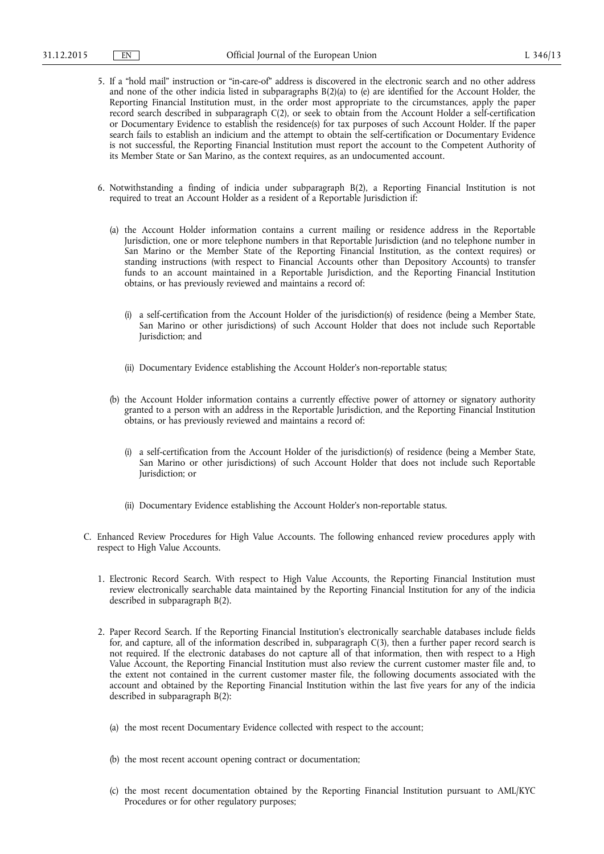- 5. If a "hold mail" instruction or "in-care-of" address is discovered in the electronic search and no other address and none of the other indicia listed in subparagraphs B(2)(a) to (e) are identified for the Account Holder, the Reporting Financial Institution must, in the order most appropriate to the circumstances, apply the paper record search described in subparagraph C(2), or seek to obtain from the Account Holder a self-certification or Documentary Evidence to establish the residence(s) for tax purposes of such Account Holder. If the paper search fails to establish an indicium and the attempt to obtain the self-certification or Documentary Evidence is not successful, the Reporting Financial Institution must report the account to the Competent Authority of its Member State or San Marino, as the context requires, as an undocumented account.
- 6. Notwithstanding a finding of indicia under subparagraph B(2), a Reporting Financial Institution is not required to treat an Account Holder as a resident of a Reportable Jurisdiction if:
	- (a) the Account Holder information contains a current mailing or residence address in the Reportable Jurisdiction, one or more telephone numbers in that Reportable Jurisdiction (and no telephone number in San Marino or the Member State of the Reporting Financial Institution, as the context requires) or standing instructions (with respect to Financial Accounts other than Depository Accounts) to transfer funds to an account maintained in a Reportable Jurisdiction, and the Reporting Financial Institution obtains, or has previously reviewed and maintains a record of:
		- (i) a self-certification from the Account Holder of the jurisdiction(s) of residence (being a Member State, San Marino or other jurisdictions) of such Account Holder that does not include such Reportable Jurisdiction; and
		- (ii) Documentary Evidence establishing the Account Holder's non-reportable status;
	- (b) the Account Holder information contains a currently effective power of attorney or signatory authority granted to a person with an address in the Reportable Jurisdiction, and the Reporting Financial Institution obtains, or has previously reviewed and maintains a record of:
		- (i) a self-certification from the Account Holder of the jurisdiction(s) of residence (being a Member State, San Marino or other jurisdictions) of such Account Holder that does not include such Reportable Jurisdiction; or
		- (ii) Documentary Evidence establishing the Account Holder's non-reportable status.
- C. Enhanced Review Procedures for High Value Accounts. The following enhanced review procedures apply with respect to High Value Accounts.
	- 1. Electronic Record Search. With respect to High Value Accounts, the Reporting Financial Institution must review electronically searchable data maintained by the Reporting Financial Institution for any of the indicia described in subparagraph B(2).
	- 2. Paper Record Search. If the Reporting Financial Institution's electronically searchable databases include fields for, and capture, all of the information described in, subparagraph C(3), then a further paper record search is not required. If the electronic databases do not capture all of that information, then with respect to a High Value Account, the Reporting Financial Institution must also review the current customer master file and, to the extent not contained in the current customer master file, the following documents associated with the account and obtained by the Reporting Financial Institution within the last five years for any of the indicia described in subparagraph B(2):
		- (a) the most recent Documentary Evidence collected with respect to the account;
		- (b) the most recent account opening contract or documentation;
		- (c) the most recent documentation obtained by the Reporting Financial Institution pursuant to AML/KYC Procedures or for other regulatory purposes;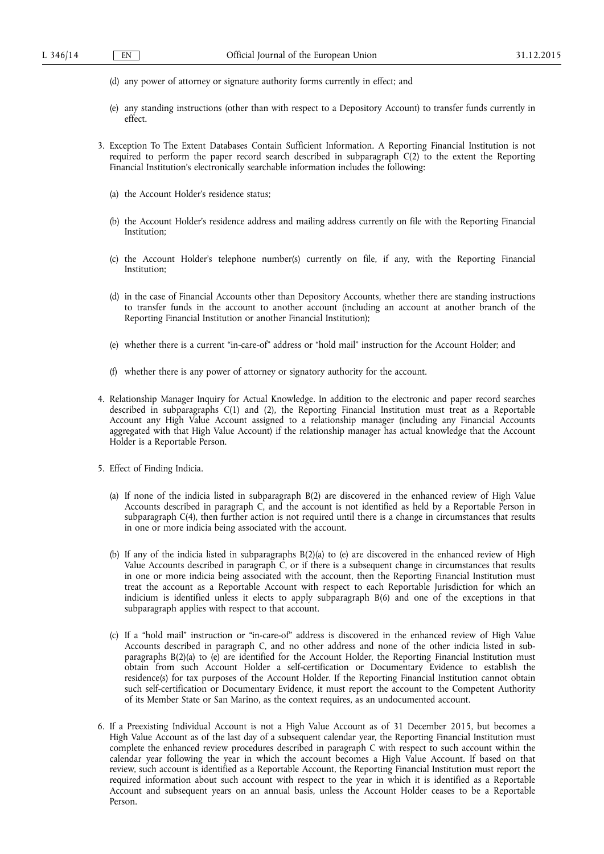- (d) any power of attorney or signature authority forms currently in effect; and
- (e) any standing instructions (other than with respect to a Depository Account) to transfer funds currently in effect.
- 3. Exception To The Extent Databases Contain Sufficient Information. A Reporting Financial Institution is not required to perform the paper record search described in subparagraph  $C(2)$  to the extent the Reporting Financial Institution's electronically searchable information includes the following:
	- (a) the Account Holder's residence status;
	- (b) the Account Holder's residence address and mailing address currently on file with the Reporting Financial Institution;
	- (c) the Account Holder's telephone number(s) currently on file, if any, with the Reporting Financial Institution;
	- (d) in the case of Financial Accounts other than Depository Accounts, whether there are standing instructions to transfer funds in the account to another account (including an account at another branch of the Reporting Financial Institution or another Financial Institution);
	- (e) whether there is a current "in-care-of" address or "hold mail" instruction for the Account Holder; and
	- (f) whether there is any power of attorney or signatory authority for the account.
- 4. Relationship Manager Inquiry for Actual Knowledge. In addition to the electronic and paper record searches described in subparagraphs C(1) and (2), the Reporting Financial Institution must treat as a Reportable Account any High Value Account assigned to a relationship manager (including any Financial Accounts aggregated with that High Value Account) if the relationship manager has actual knowledge that the Account Holder is a Reportable Person.
- 5. Effect of Finding Indicia.
	- (a) If none of the indicia listed in subparagraph B(2) are discovered in the enhanced review of High Value Accounts described in paragraph C, and the account is not identified as held by a Reportable Person in subparagraph C(4), then further action is not required until there is a change in circumstances that results in one or more indicia being associated with the account.
	- (b) If any of the indicia listed in subparagraphs B(2)(a) to (e) are discovered in the enhanced review of High Value Accounts described in paragraph C, or if there is a subsequent change in circumstances that results in one or more indicia being associated with the account, then the Reporting Financial Institution must treat the account as a Reportable Account with respect to each Reportable Jurisdiction for which an indicium is identified unless it elects to apply subparagraph B(6) and one of the exceptions in that subparagraph applies with respect to that account.
	- (c) If a "hold mail" instruction or "in-care-of" address is discovered in the enhanced review of High Value Accounts described in paragraph C, and no other address and none of the other indicia listed in subparagraphs B(2)(a) to (e) are identified for the Account Holder, the Reporting Financial Institution must obtain from such Account Holder a self-certification or Documentary Evidence to establish the residence(s) for tax purposes of the Account Holder. If the Reporting Financial Institution cannot obtain such self-certification or Documentary Evidence, it must report the account to the Competent Authority of its Member State or San Marino, as the context requires, as an undocumented account.
- 6. If a Preexisting Individual Account is not a High Value Account as of 31 December 2015, but becomes a High Value Account as of the last day of a subsequent calendar year, the Reporting Financial Institution must complete the enhanced review procedures described in paragraph C with respect to such account within the calendar year following the year in which the account becomes a High Value Account. If based on that review, such account is identified as a Reportable Account, the Reporting Financial Institution must report the required information about such account with respect to the year in which it is identified as a Reportable Account and subsequent years on an annual basis, unless the Account Holder ceases to be a Reportable Person.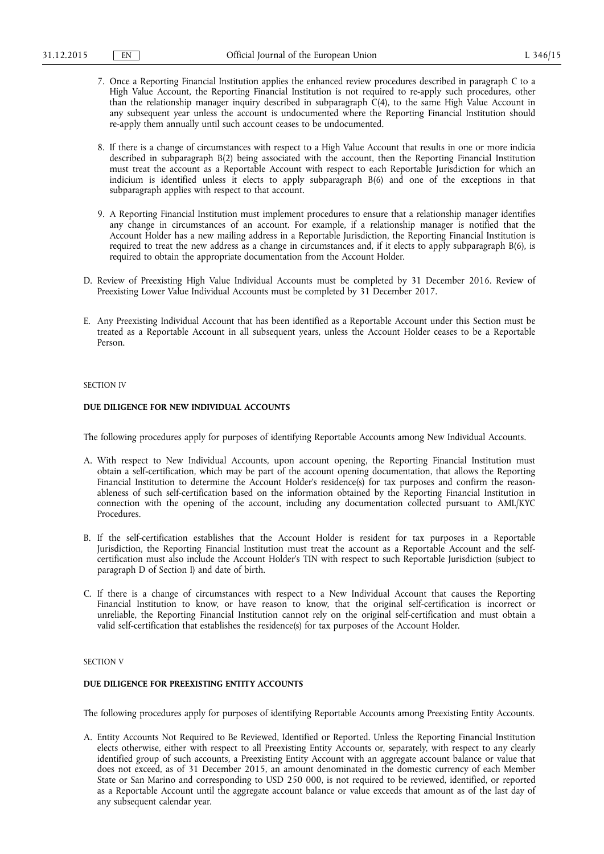- 7. Once a Reporting Financial Institution applies the enhanced review procedures described in paragraph C to a High Value Account, the Reporting Financial Institution is not required to re-apply such procedures, other than the relationship manager inquiry described in subparagraph C(4), to the same High Value Account in any subsequent year unless the account is undocumented where the Reporting Financial Institution should re-apply them annually until such account ceases to be undocumented.
- 8. If there is a change of circumstances with respect to a High Value Account that results in one or more indicia described in subparagraph B(2) being associated with the account, then the Reporting Financial Institution must treat the account as a Reportable Account with respect to each Reportable Jurisdiction for which an indicium is identified unless it elects to apply subparagraph B(6) and one of the exceptions in that subparagraph applies with respect to that account.
- 9. A Reporting Financial Institution must implement procedures to ensure that a relationship manager identifies any change in circumstances of an account. For example, if a relationship manager is notified that the Account Holder has a new mailing address in a Reportable Jurisdiction, the Reporting Financial Institution is required to treat the new address as a change in circumstances and, if it elects to apply subparagraph B(6), is required to obtain the appropriate documentation from the Account Holder.
- D. Review of Preexisting High Value Individual Accounts must be completed by 31 December 2016. Review of Preexisting Lower Value Individual Accounts must be completed by 31 December 2017.
- E. Any Preexisting Individual Account that has been identified as a Reportable Account under this Section must be treated as a Reportable Account in all subsequent years, unless the Account Holder ceases to be a Reportable Person.

## SECTION IV

## **DUE DILIGENCE FOR NEW INDIVIDUAL ACCOUNTS**

The following procedures apply for purposes of identifying Reportable Accounts among New Individual Accounts.

- A. With respect to New Individual Accounts, upon account opening, the Reporting Financial Institution must obtain a self-certification, which may be part of the account opening documentation, that allows the Reporting Financial Institution to determine the Account Holder's residence(s) for tax purposes and confirm the reasonableness of such self-certification based on the information obtained by the Reporting Financial Institution in connection with the opening of the account, including any documentation collected pursuant to AML/KYC Procedures.
- B. If the self-certification establishes that the Account Holder is resident for tax purposes in a Reportable Jurisdiction, the Reporting Financial Institution must treat the account as a Reportable Account and the selfcertification must also include the Account Holder's TIN with respect to such Reportable Jurisdiction (subject to paragraph D of Section I) and date of birth.
- C. If there is a change of circumstances with respect to a New Individual Account that causes the Reporting Financial Institution to know, or have reason to know, that the original self-certification is incorrect or unreliable, the Reporting Financial Institution cannot rely on the original self-certification and must obtain a valid self-certification that establishes the residence(s) for tax purposes of the Account Holder.

SECTION V

# **DUE DILIGENCE FOR PREEXISTING ENTITY ACCOUNTS**

The following procedures apply for purposes of identifying Reportable Accounts among Preexisting Entity Accounts.

A. Entity Accounts Not Required to Be Reviewed, Identified or Reported. Unless the Reporting Financial Institution elects otherwise, either with respect to all Preexisting Entity Accounts or, separately, with respect to any clearly identified group of such accounts, a Preexisting Entity Account with an aggregate account balance or value that does not exceed, as of 31 December 2015, an amount denominated in the domestic currency of each Member State or San Marino and corresponding to USD 250 000, is not required to be reviewed, identified, or reported as a Reportable Account until the aggregate account balance or value exceeds that amount as of the last day of any subsequent calendar year.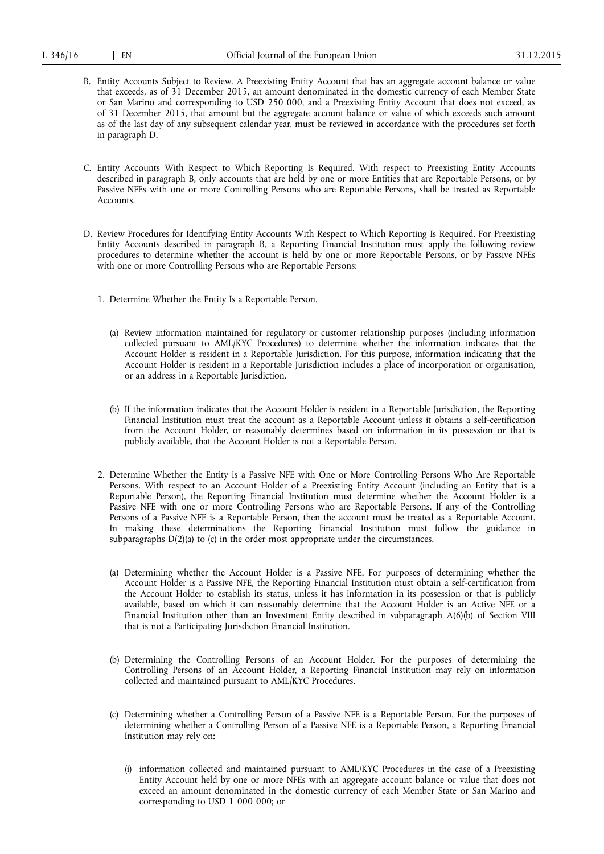- B. Entity Accounts Subject to Review. A Preexisting Entity Account that has an aggregate account balance or value that exceeds, as of 31 December 2015, an amount denominated in the domestic currency of each Member State or San Marino and corresponding to USD 250 000, and a Preexisting Entity Account that does not exceed, as of 31 December 2015, that amount but the aggregate account balance or value of which exceeds such amount as of the last day of any subsequent calendar year, must be reviewed in accordance with the procedures set forth in paragraph D.
- C. Entity Accounts With Respect to Which Reporting Is Required. With respect to Preexisting Entity Accounts described in paragraph B, only accounts that are held by one or more Entities that are Reportable Persons, or by Passive NFEs with one or more Controlling Persons who are Reportable Persons, shall be treated as Reportable Accounts.
- D. Review Procedures for Identifying Entity Accounts With Respect to Which Reporting Is Required. For Preexisting Entity Accounts described in paragraph B, a Reporting Financial Institution must apply the following review procedures to determine whether the account is held by one or more Reportable Persons, or by Passive NFEs with one or more Controlling Persons who are Reportable Persons:
	- 1. Determine Whether the Entity Is a Reportable Person.
		- (a) Review information maintained for regulatory or customer relationship purposes (including information collected pursuant to AML/KYC Procedures) to determine whether the information indicates that the Account Holder is resident in a Reportable Jurisdiction. For this purpose, information indicating that the Account Holder is resident in a Reportable Jurisdiction includes a place of incorporation or organisation, or an address in a Reportable Jurisdiction.
		- (b) If the information indicates that the Account Holder is resident in a Reportable Jurisdiction, the Reporting Financial Institution must treat the account as a Reportable Account unless it obtains a self-certification from the Account Holder, or reasonably determines based on information in its possession or that is publicly available, that the Account Holder is not a Reportable Person.
	- 2. Determine Whether the Entity is a Passive NFE with One or More Controlling Persons Who Are Reportable Persons. With respect to an Account Holder of a Preexisting Entity Account (including an Entity that is a Reportable Person), the Reporting Financial Institution must determine whether the Account Holder is a Passive NFE with one or more Controlling Persons who are Reportable Persons. If any of the Controlling Persons of a Passive NFE is a Reportable Person, then the account must be treated as a Reportable Account. In making these determinations the Reporting Financial Institution must follow the guidance in subparagraphs  $D(2)(a)$  to (c) in the order most appropriate under the circumstances.
		- (a) Determining whether the Account Holder is a Passive NFE. For purposes of determining whether the Account Holder is a Passive NFE, the Reporting Financial Institution must obtain a self-certification from the Account Holder to establish its status, unless it has information in its possession or that is publicly available, based on which it can reasonably determine that the Account Holder is an Active NFE or a Financial Institution other than an Investment Entity described in subparagraph A(6)(b) of Section VIII that is not a Participating Jurisdiction Financial Institution.
		- (b) Determining the Controlling Persons of an Account Holder. For the purposes of determining the Controlling Persons of an Account Holder, a Reporting Financial Institution may rely on information collected and maintained pursuant to AML/KYC Procedures.
		- (c) Determining whether a Controlling Person of a Passive NFE is a Reportable Person. For the purposes of determining whether a Controlling Person of a Passive NFE is a Reportable Person, a Reporting Financial Institution may rely on:
			- (i) information collected and maintained pursuant to AML/KYC Procedures in the case of a Preexisting Entity Account held by one or more NFEs with an aggregate account balance or value that does not exceed an amount denominated in the domestic currency of each Member State or San Marino and corresponding to USD 1 000 000; or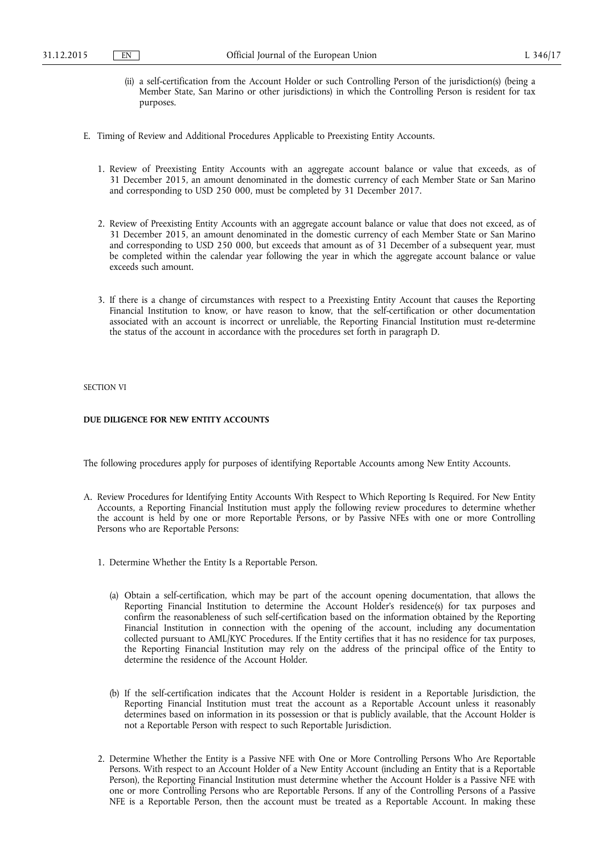- (ii) a self-certification from the Account Holder or such Controlling Person of the jurisdiction(s) (being a Member State, San Marino or other jurisdictions) in which the Controlling Person is resident for tax purposes.
- E. Timing of Review and Additional Procedures Applicable to Preexisting Entity Accounts.
	- 1. Review of Preexisting Entity Accounts with an aggregate account balance or value that exceeds, as of 31 December 2015, an amount denominated in the domestic currency of each Member State or San Marino and corresponding to USD 250 000, must be completed by 31 December 2017.
	- 2. Review of Preexisting Entity Accounts with an aggregate account balance or value that does not exceed, as of 31 December 2015, an amount denominated in the domestic currency of each Member State or San Marino and corresponding to USD 250 000, but exceeds that amount as of 31 December of a subsequent year, must be completed within the calendar year following the year in which the aggregate account balance or value exceeds such amount.
	- 3. If there is a change of circumstances with respect to a Preexisting Entity Account that causes the Reporting Financial Institution to know, or have reason to know, that the self-certification or other documentation associated with an account is incorrect or unreliable, the Reporting Financial Institution must re-determine the status of the account in accordance with the procedures set forth in paragraph D.

SECTION VI

#### **DUE DILIGENCE FOR NEW ENTITY ACCOUNTS**

The following procedures apply for purposes of identifying Reportable Accounts among New Entity Accounts.

- A. Review Procedures for Identifying Entity Accounts With Respect to Which Reporting Is Required. For New Entity Accounts, a Reporting Financial Institution must apply the following review procedures to determine whether the account is held by one or more Reportable Persons, or by Passive NFEs with one or more Controlling Persons who are Reportable Persons:
	- 1. Determine Whether the Entity Is a Reportable Person.
		- (a) Obtain a self-certification, which may be part of the account opening documentation, that allows the Reporting Financial Institution to determine the Account Holder's residence(s) for tax purposes and confirm the reasonableness of such self-certification based on the information obtained by the Reporting Financial Institution in connection with the opening of the account, including any documentation collected pursuant to AML/KYC Procedures. If the Entity certifies that it has no residence for tax purposes, the Reporting Financial Institution may rely on the address of the principal office of the Entity to determine the residence of the Account Holder.
		- (b) If the self-certification indicates that the Account Holder is resident in a Reportable Jurisdiction, the Reporting Financial Institution must treat the account as a Reportable Account unless it reasonably determines based on information in its possession or that is publicly available, that the Account Holder is not a Reportable Person with respect to such Reportable Jurisdiction.
	- 2. Determine Whether the Entity is a Passive NFE with One or More Controlling Persons Who Are Reportable Persons. With respect to an Account Holder of a New Entity Account (including an Entity that is a Reportable Person), the Reporting Financial Institution must determine whether the Account Holder is a Passive NFE with one or more Controlling Persons who are Reportable Persons. If any of the Controlling Persons of a Passive NFE is a Reportable Person, then the account must be treated as a Reportable Account. In making these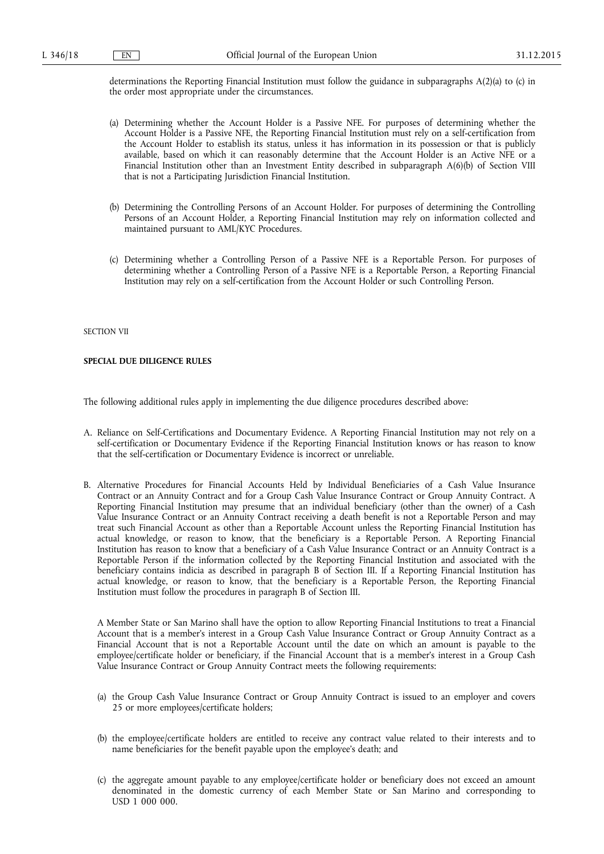determinations the Reporting Financial Institution must follow the guidance in subparagraphs A(2)(a) to (c) in the order most appropriate under the circumstances.

- (a) Determining whether the Account Holder is a Passive NFE. For purposes of determining whether the Account Holder is a Passive NFE, the Reporting Financial Institution must rely on a self-certification from the Account Holder to establish its status, unless it has information in its possession or that is publicly available, based on which it can reasonably determine that the Account Holder is an Active NFE or a Financial Institution other than an Investment Entity described in subparagraph A(6)(b) of Section VIII that is not a Participating Jurisdiction Financial Institution.
- (b) Determining the Controlling Persons of an Account Holder. For purposes of determining the Controlling Persons of an Account Holder, a Reporting Financial Institution may rely on information collected and maintained pursuant to AML/KYC Procedures.
- (c) Determining whether a Controlling Person of a Passive NFE is a Reportable Person. For purposes of determining whether a Controlling Person of a Passive NFE is a Reportable Person, a Reporting Financial Institution may rely on a self-certification from the Account Holder or such Controlling Person.

#### SECTION VII

## **SPECIAL DUE DILIGENCE RULES**

The following additional rules apply in implementing the due diligence procedures described above:

- A. Reliance on Self-Certifications and Documentary Evidence. A Reporting Financial Institution may not rely on a self-certification or Documentary Evidence if the Reporting Financial Institution knows or has reason to know that the self-certification or Documentary Evidence is incorrect or unreliable.
- B. Alternative Procedures for Financial Accounts Held by Individual Beneficiaries of a Cash Value Insurance Contract or an Annuity Contract and for a Group Cash Value Insurance Contract or Group Annuity Contract. A Reporting Financial Institution may presume that an individual beneficiary (other than the owner) of a Cash Value Insurance Contract or an Annuity Contract receiving a death benefit is not a Reportable Person and may treat such Financial Account as other than a Reportable Account unless the Reporting Financial Institution has actual knowledge, or reason to know, that the beneficiary is a Reportable Person. A Reporting Financial Institution has reason to know that a beneficiary of a Cash Value Insurance Contract or an Annuity Contract is a Reportable Person if the information collected by the Reporting Financial Institution and associated with the beneficiary contains indicia as described in paragraph B of Section III. If a Reporting Financial Institution has actual knowledge, or reason to know, that the beneficiary is a Reportable Person, the Reporting Financial Institution must follow the procedures in paragraph B of Section III.

A Member State or San Marino shall have the option to allow Reporting Financial Institutions to treat a Financial Account that is a member's interest in a Group Cash Value Insurance Contract or Group Annuity Contract as a Financial Account that is not a Reportable Account until the date on which an amount is payable to the employee/certificate holder or beneficiary, if the Financial Account that is a member's interest in a Group Cash Value Insurance Contract or Group Annuity Contract meets the following requirements:

- (a) the Group Cash Value Insurance Contract or Group Annuity Contract is issued to an employer and covers 25 or more employees/certificate holders;
- (b) the employee/certificate holders are entitled to receive any contract value related to their interests and to name beneficiaries for the benefit payable upon the employee's death; and
- (c) the aggregate amount payable to any employee/certificate holder or beneficiary does not exceed an amount denominated in the domestic currency of each Member State or San Marino and corresponding to USD 1 000 000.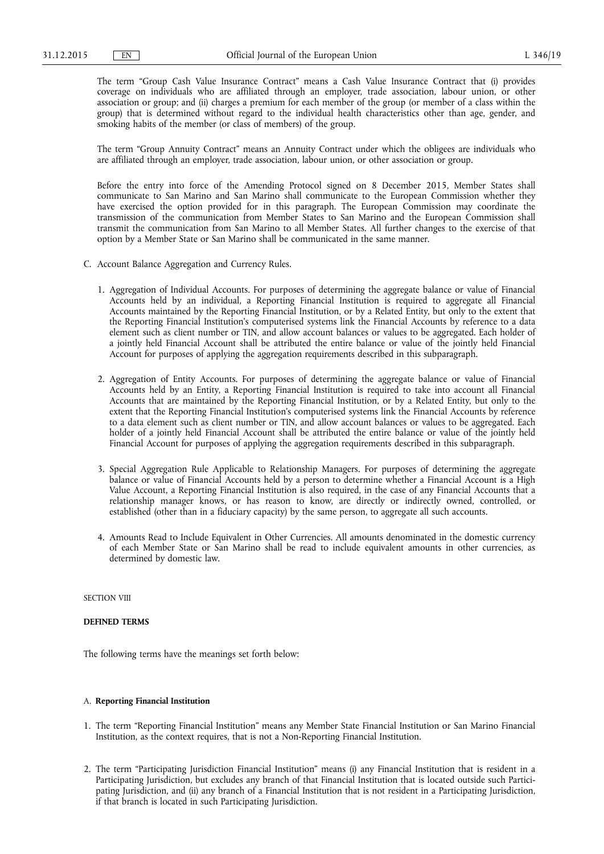The term "Group Cash Value Insurance Contract" means a Cash Value Insurance Contract that (i) provides coverage on individuals who are affiliated through an employer, trade association, labour union, or other association or group; and (ii) charges a premium for each member of the group (or member of a class within the group) that is determined without regard to the individual health characteristics other than age, gender, and smoking habits of the member (or class of members) of the group.

The term "Group Annuity Contract" means an Annuity Contract under which the obligees are individuals who are affiliated through an employer, trade association, labour union, or other association or group.

Before the entry into force of the Amending Protocol signed on 8 December 2015, Member States shall communicate to San Marino and San Marino shall communicate to the European Commission whether they have exercised the option provided for in this paragraph. The European Commission may coordinate the transmission of the communication from Member States to San Marino and the European Commission shall transmit the communication from San Marino to all Member States. All further changes to the exercise of that option by a Member State or San Marino shall be communicated in the same manner.

- C. Account Balance Aggregation and Currency Rules.
	- 1. Aggregation of Individual Accounts. For purposes of determining the aggregate balance or value of Financial Accounts held by an individual, a Reporting Financial Institution is required to aggregate all Financial Accounts maintained by the Reporting Financial Institution, or by a Related Entity, but only to the extent that the Reporting Financial Institution's computerised systems link the Financial Accounts by reference to a data element such as client number or TIN, and allow account balances or values to be aggregated. Each holder of a jointly held Financial Account shall be attributed the entire balance or value of the jointly held Financial Account for purposes of applying the aggregation requirements described in this subparagraph.
	- 2. Aggregation of Entity Accounts. For purposes of determining the aggregate balance or value of Financial Accounts held by an Entity, a Reporting Financial Institution is required to take into account all Financial Accounts that are maintained by the Reporting Financial Institution, or by a Related Entity, but only to the extent that the Reporting Financial Institution's computerised systems link the Financial Accounts by reference to a data element such as client number or TIN, and allow account balances or values to be aggregated. Each holder of a jointly held Financial Account shall be attributed the entire balance or value of the jointly held Financial Account for purposes of applying the aggregation requirements described in this subparagraph.
	- 3. Special Aggregation Rule Applicable to Relationship Managers. For purposes of determining the aggregate balance or value of Financial Accounts held by a person to determine whether a Financial Account is a High Value Account, a Reporting Financial Institution is also required, in the case of any Financial Accounts that a relationship manager knows, or has reason to know, are directly or indirectly owned, controlled, or established (other than in a fiduciary capacity) by the same person, to aggregate all such accounts.
	- 4. Amounts Read to Include Equivalent in Other Currencies. All amounts denominated in the domestic currency of each Member State or San Marino shall be read to include equivalent amounts in other currencies, as determined by domestic law.

# SECTION VIII

#### **DEFINED TERMS**

The following terms have the meanings set forth below:

#### A. **Reporting Financial Institution**

- 1. The term "Reporting Financial Institution" means any Member State Financial Institution or San Marino Financial Institution, as the context requires, that is not a Non-Reporting Financial Institution.
- 2. The term "Participating Jurisdiction Financial Institution" means (i) any Financial Institution that is resident in a Participating Jurisdiction, but excludes any branch of that Financial Institution that is located outside such Participating Jurisdiction, and (ii) any branch of a Financial Institution that is not resident in a Participating Jurisdiction, if that branch is located in such Participating Jurisdiction.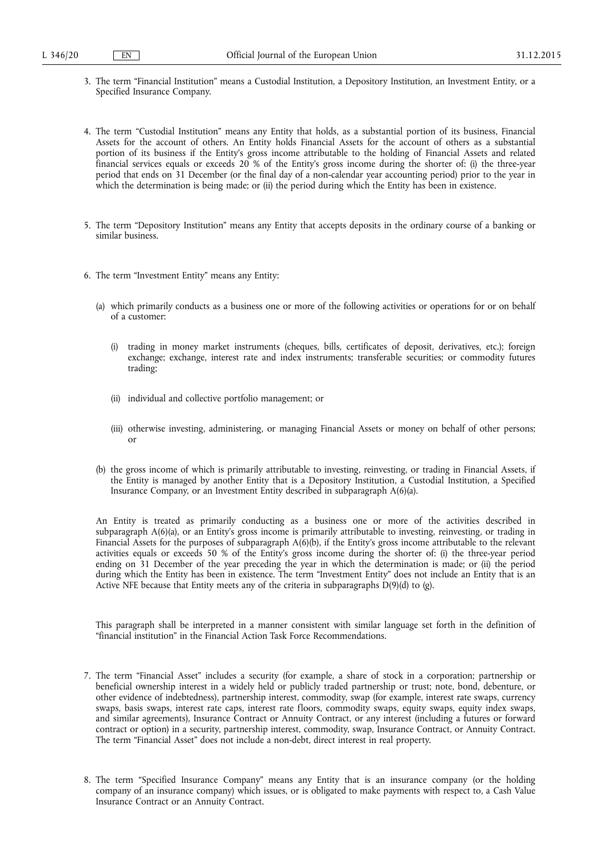- 3. The term "Financial Institution" means a Custodial Institution, a Depository Institution, an Investment Entity, or a Specified Insurance Company.
- 4. The term "Custodial Institution" means any Entity that holds, as a substantial portion of its business, Financial Assets for the account of others. An Entity holds Financial Assets for the account of others as a substantial portion of its business if the Entity's gross income attributable to the holding of Financial Assets and related financial services equals or exceeds 20 % of the Entity's gross income during the shorter of: (i) the three-year period that ends on 31 December (or the final day of a non-calendar year accounting period) prior to the year in which the determination is being made; or (ii) the period during which the Entity has been in existence.
- 5. The term "Depository Institution" means any Entity that accepts deposits in the ordinary course of a banking or similar business.
- 6. The term "Investment Entity" means any Entity:
	- (a) which primarily conducts as a business one or more of the following activities or operations for or on behalf of a customer:
		- (i) trading in money market instruments (cheques, bills, certificates of deposit, derivatives, etc.); foreign exchange; exchange, interest rate and index instruments; transferable securities; or commodity futures trading;
		- (ii) individual and collective portfolio management; or
		- (iii) otherwise investing, administering, or managing Financial Assets or money on behalf of other persons; or
	- (b) the gross income of which is primarily attributable to investing, reinvesting, or trading in Financial Assets, if the Entity is managed by another Entity that is a Depository Institution, a Custodial Institution, a Specified Insurance Company, or an Investment Entity described in subparagraph A(6)(a).

An Entity is treated as primarily conducting as a business one or more of the activities described in subparagraph A(6)(a), or an Entity's gross income is primarily attributable to investing, reinvesting, or trading in Financial Assets for the purposes of subparagraph  $A(6)(b)$ , if the Entity's gross income attributable to the relevant activities equals or exceeds 50 % of the Entity's gross income during the shorter of: (i) the three-year period ending on 31 December of the year preceding the year in which the determination is made; or (ii) the period during which the Entity has been in existence. The term "Investment Entity" does not include an Entity that is an Active NFE because that Entity meets any of the criteria in subparagraphs D(9)(d) to (g).

This paragraph shall be interpreted in a manner consistent with similar language set forth in the definition of "financial institution" in the Financial Action Task Force Recommendations.

- 7. The term "Financial Asset" includes a security (for example, a share of stock in a corporation; partnership or beneficial ownership interest in a widely held or publicly traded partnership or trust; note, bond, debenture, or other evidence of indebtedness), partnership interest, commodity, swap (for example, interest rate swaps, currency swaps, basis swaps, interest rate caps, interest rate floors, commodity swaps, equity swaps, equity index swaps, and similar agreements), Insurance Contract or Annuity Contract, or any interest (including a futures or forward contract or option) in a security, partnership interest, commodity, swap, Insurance Contract, or Annuity Contract. The term "Financial Asset" does not include a non-debt, direct interest in real property.
- 8. The term "Specified Insurance Company" means any Entity that is an insurance company (or the holding company of an insurance company) which issues, or is obligated to make payments with respect to, a Cash Value Insurance Contract or an Annuity Contract.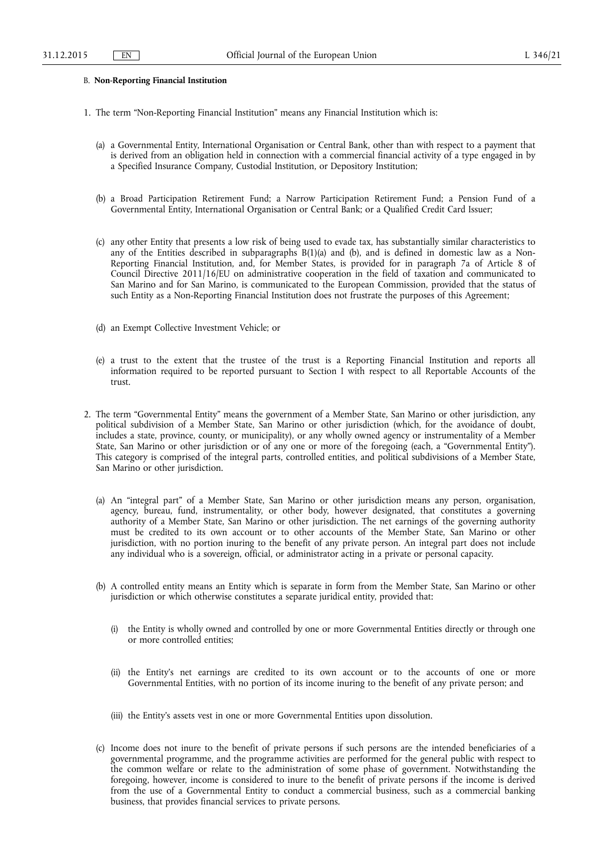#### B. **Non-Reporting Financial Institution**

- 1. The term "Non-Reporting Financial Institution" means any Financial Institution which is:
	- (a) a Governmental Entity, International Organisation or Central Bank, other than with respect to a payment that is derived from an obligation held in connection with a commercial financial activity of a type engaged in by a Specified Insurance Company, Custodial Institution, or Depository Institution;
	- (b) a Broad Participation Retirement Fund; a Narrow Participation Retirement Fund; a Pension Fund of a Governmental Entity, International Organisation or Central Bank; or a Qualified Credit Card Issuer;
	- (c) any other Entity that presents a low risk of being used to evade tax, has substantially similar characteristics to any of the Entities described in subparagraphs  $B(1)(a)$  and (b), and is defined in domestic law as a Non-Reporting Financial Institution, and, for Member States, is provided for in paragraph 7a of Article 8 of Council Directive 2011/16/EU on administrative cooperation in the field of taxation and communicated to San Marino and for San Marino, is communicated to the European Commission, provided that the status of such Entity as a Non-Reporting Financial Institution does not frustrate the purposes of this Agreement;
	- (d) an Exempt Collective Investment Vehicle; or
	- (e) a trust to the extent that the trustee of the trust is a Reporting Financial Institution and reports all information required to be reported pursuant to Section I with respect to all Reportable Accounts of the trust.
- 2. The term "Governmental Entity" means the government of a Member State, San Marino or other jurisdiction, any political subdivision of a Member State, San Marino or other jurisdiction (which, for the avoidance of doubt, includes a state, province, county, or municipality), or any wholly owned agency or instrumentality of a Member State, San Marino or other jurisdiction or of any one or more of the foregoing (each, a "Governmental Entity"). This category is comprised of the integral parts, controlled entities, and political subdivisions of a Member State, San Marino or other jurisdiction.
	- (a) An "integral part" of a Member State, San Marino or other jurisdiction means any person, organisation, agency, bureau, fund, instrumentality, or other body, however designated, that constitutes a governing authority of a Member State, San Marino or other jurisdiction. The net earnings of the governing authority must be credited to its own account or to other accounts of the Member State, San Marino or other jurisdiction, with no portion inuring to the benefit of any private person. An integral part does not include any individual who is a sovereign, official, or administrator acting in a private or personal capacity.
	- (b) A controlled entity means an Entity which is separate in form from the Member State, San Marino or other jurisdiction or which otherwise constitutes a separate juridical entity, provided that:
		- (i) the Entity is wholly owned and controlled by one or more Governmental Entities directly or through one or more controlled entities;
		- (ii) the Entity's net earnings are credited to its own account or to the accounts of one or more Governmental Entities, with no portion of its income inuring to the benefit of any private person; and
		- (iii) the Entity's assets vest in one or more Governmental Entities upon dissolution.
	- (c) Income does not inure to the benefit of private persons if such persons are the intended beneficiaries of a governmental programme, and the programme activities are performed for the general public with respect to the common welfare or relate to the administration of some phase of government. Notwithstanding the foregoing, however, income is considered to inure to the benefit of private persons if the income is derived from the use of a Governmental Entity to conduct a commercial business, such as a commercial banking business, that provides financial services to private persons.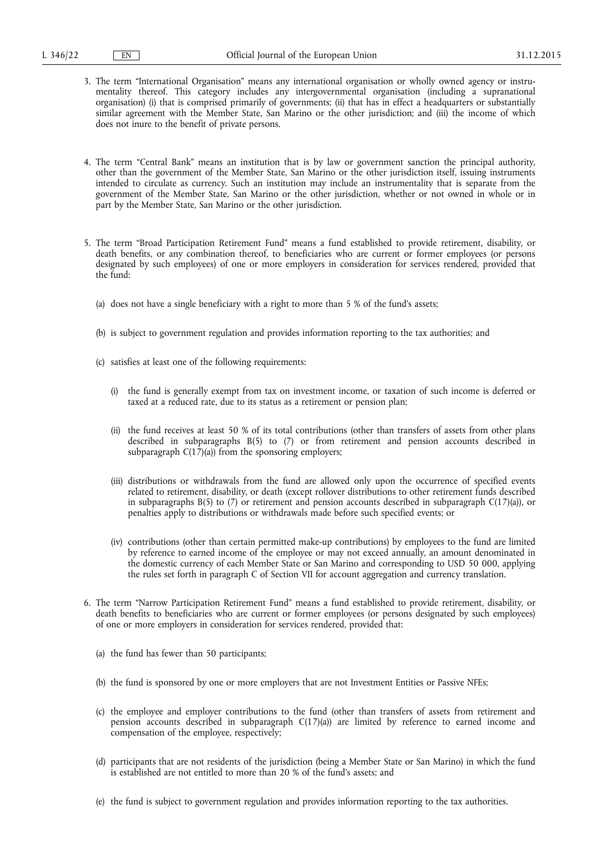- 3. The term "International Organisation" means any international organisation or wholly owned agency or instrumentality thereof. This category includes any intergovernmental organisation (including a supranational organisation) (i) that is comprised primarily of governments; (ii) that has in effect a headquarters or substantially similar agreement with the Member State, San Marino or the other jurisdiction; and (iii) the income of which does not inure to the benefit of private persons.
- 4. The term "Central Bank" means an institution that is by law or government sanction the principal authority, other than the government of the Member State, San Marino or the other jurisdiction itself, issuing instruments intended to circulate as currency. Such an institution may include an instrumentality that is separate from the government of the Member State, San Marino or the other jurisdiction, whether or not owned in whole or in part by the Member State, San Marino or the other jurisdiction.
- 5. The term "Broad Participation Retirement Fund" means a fund established to provide retirement, disability, or death benefits, or any combination thereof, to beneficiaries who are current or former employees (or persons designated by such employees) of one or more employers in consideration for services rendered, provided that the fund:
	- (a) does not have a single beneficiary with a right to more than 5 % of the fund's assets;
	- (b) is subject to government regulation and provides information reporting to the tax authorities; and
	- (c) satisfies at least one of the following requirements:
		- (i) the fund is generally exempt from tax on investment income, or taxation of such income is deferred or taxed at a reduced rate, due to its status as a retirement or pension plan;
		- (ii) the fund receives at least 50 % of its total contributions (other than transfers of assets from other plans described in subparagraphs B(5) to (7) or from retirement and pension accounts described in subparagraph  $C(17)(a)$  from the sponsoring employers;
		- (iii) distributions or withdrawals from the fund are allowed only upon the occurrence of specified events related to retirement, disability, or death (except rollover distributions to other retirement funds described in subparagraphs  $B(5)$  to (7) or retirement and pension accounts described in subparagraph  $C(17)(a)$ ), or penalties apply to distributions or withdrawals made before such specified events; or
		- (iv) contributions (other than certain permitted make-up contributions) by employees to the fund are limited by reference to earned income of the employee or may not exceed annually, an amount denominated in the domestic currency of each Member State or San Marino and corresponding to USD 50 000, applying the rules set forth in paragraph C of Section VII for account aggregation and currency translation.
- 6. The term "Narrow Participation Retirement Fund" means a fund established to provide retirement, disability, or death benefits to beneficiaries who are current or former employees (or persons designated by such employees) of one or more employers in consideration for services rendered, provided that:
	- (a) the fund has fewer than 50 participants;
	- (b) the fund is sponsored by one or more employers that are not Investment Entities or Passive NFEs;
	- (c) the employee and employer contributions to the fund (other than transfers of assets from retirement and pension accounts described in subparagraph C(17)(a)) are limited by reference to earned income and compensation of the employee, respectively;
	- (d) participants that are not residents of the jurisdiction (being a Member State or San Marino) in which the fund is established are not entitled to more than 20 % of the fund's assets; and
	- (e) the fund is subject to government regulation and provides information reporting to the tax authorities.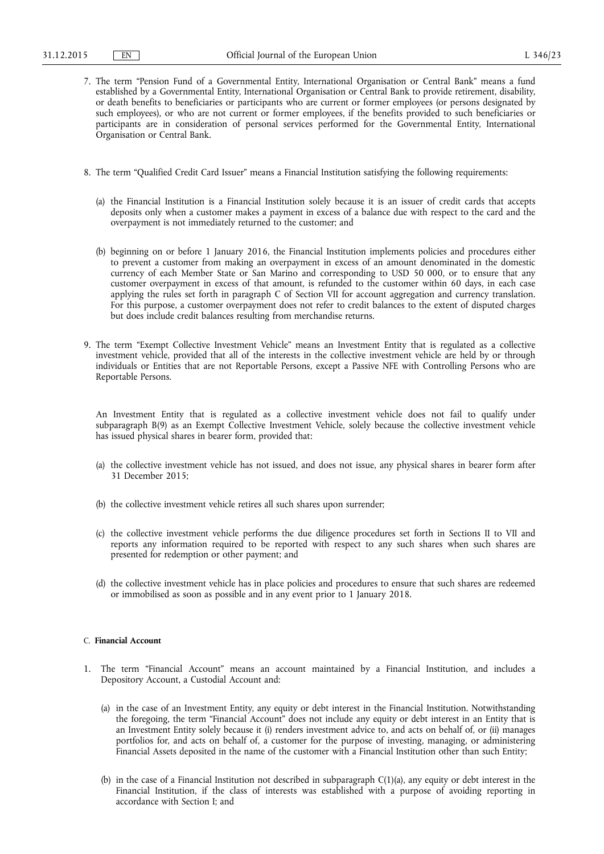- 7. The term "Pension Fund of a Governmental Entity, International Organisation or Central Bank" means a fund established by a Governmental Entity, International Organisation or Central Bank to provide retirement, disability, or death benefits to beneficiaries or participants who are current or former employees (or persons designated by such employees), or who are not current or former employees, if the benefits provided to such beneficiaries or participants are in consideration of personal services performed for the Governmental Entity, International Organisation or Central Bank.
- 8. The term "Qualified Credit Card Issuer" means a Financial Institution satisfying the following requirements:
	- (a) the Financial Institution is a Financial Institution solely because it is an issuer of credit cards that accepts deposits only when a customer makes a payment in excess of a balance due with respect to the card and the overpayment is not immediately returned to the customer; and
	- (b) beginning on or before 1 January 2016, the Financial Institution implements policies and procedures either to prevent a customer from making an overpayment in excess of an amount denominated in the domestic currency of each Member State or San Marino and corresponding to USD 50 000, or to ensure that any customer overpayment in excess of that amount, is refunded to the customer within 60 days, in each case applying the rules set forth in paragraph C of Section VII for account aggregation and currency translation. For this purpose, a customer overpayment does not refer to credit balances to the extent of disputed charges but does include credit balances resulting from merchandise returns.
- 9. The term "Exempt Collective Investment Vehicle" means an Investment Entity that is regulated as a collective investment vehicle, provided that all of the interests in the collective investment vehicle are held by or through individuals or Entities that are not Reportable Persons, except a Passive NFE with Controlling Persons who are Reportable Persons.

An Investment Entity that is regulated as a collective investment vehicle does not fail to qualify under subparagraph B(9) as an Exempt Collective Investment Vehicle, solely because the collective investment vehicle has issued physical shares in bearer form, provided that:

- (a) the collective investment vehicle has not issued, and does not issue, any physical shares in bearer form after 31 December 2015;
- (b) the collective investment vehicle retires all such shares upon surrender;
- (c) the collective investment vehicle performs the due diligence procedures set forth in Sections II to VII and reports any information required to be reported with respect to any such shares when such shares are presented for redemption or other payment; and
- (d) the collective investment vehicle has in place policies and procedures to ensure that such shares are redeemed or immobilised as soon as possible and in any event prior to 1 January 2018.

# C. **Financial Account**

- 1. The term "Financial Account" means an account maintained by a Financial Institution, and includes a Depository Account, a Custodial Account and:
	- (a) in the case of an Investment Entity, any equity or debt interest in the Financial Institution. Notwithstanding the foregoing, the term "Financial Account" does not include any equity or debt interest in an Entity that is an Investment Entity solely because it (i) renders investment advice to, and acts on behalf of, or (ii) manages portfolios for, and acts on behalf of, a customer for the purpose of investing, managing, or administering Financial Assets deposited in the name of the customer with a Financial Institution other than such Entity;
	- (b) in the case of a Financial Institution not described in subparagraph C(1)(a), any equity or debt interest in the Financial Institution, if the class of interests was established with a purpose of avoiding reporting in accordance with Section I; and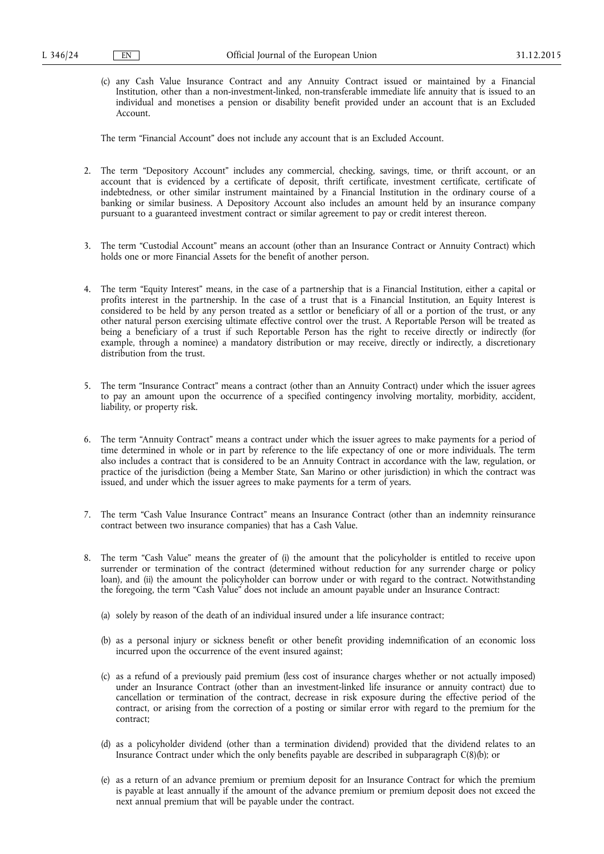(c) any Cash Value Insurance Contract and any Annuity Contract issued or maintained by a Financial Institution, other than a non-investment-linked, non-transferable immediate life annuity that is issued to an individual and monetises a pension or disability benefit provided under an account that is an Excluded Account.

The term "Financial Account" does not include any account that is an Excluded Account.

- 2. The term "Depository Account" includes any commercial, checking, savings, time, or thrift account, or an account that is evidenced by a certificate of deposit, thrift certificate, investment certificate, certificate of indebtedness, or other similar instrument maintained by a Financial Institution in the ordinary course of a banking or similar business. A Depository Account also includes an amount held by an insurance company pursuant to a guaranteed investment contract or similar agreement to pay or credit interest thereon.
- 3. The term "Custodial Account" means an account (other than an Insurance Contract or Annuity Contract) which holds one or more Financial Assets for the benefit of another person.
- 4. The term "Equity Interest" means, in the case of a partnership that is a Financial Institution, either a capital or profits interest in the partnership. In the case of a trust that is a Financial Institution, an Equity Interest is considered to be held by any person treated as a settlor or beneficiary of all or a portion of the trust, or any other natural person exercising ultimate effective control over the trust. A Reportable Person will be treated as being a beneficiary of a trust if such Reportable Person has the right to receive directly or indirectly (for example, through a nominee) a mandatory distribution or may receive, directly or indirectly, a discretionary distribution from the trust.
- 5. The term "Insurance Contract" means a contract (other than an Annuity Contract) under which the issuer agrees to pay an amount upon the occurrence of a specified contingency involving mortality, morbidity, accident, liability, or property risk.
- 6. The term "Annuity Contract" means a contract under which the issuer agrees to make payments for a period of time determined in whole or in part by reference to the life expectancy of one or more individuals. The term also includes a contract that is considered to be an Annuity Contract in accordance with the law, regulation, or practice of the jurisdiction (being a Member State, San Marino or other jurisdiction) in which the contract was issued, and under which the issuer agrees to make payments for a term of years.
- 7. The term "Cash Value Insurance Contract" means an Insurance Contract (other than an indemnity reinsurance contract between two insurance companies) that has a Cash Value.
- 8. The term "Cash Value" means the greater of (i) the amount that the policyholder is entitled to receive upon surrender or termination of the contract (determined without reduction for any surrender charge or policy loan), and (ii) the amount the policyholder can borrow under or with regard to the contract. Notwithstanding the foregoing, the term "Cash Value" does not include an amount payable under an Insurance Contract:
	- (a) solely by reason of the death of an individual insured under a life insurance contract;
	- (b) as a personal injury or sickness benefit or other benefit providing indemnification of an economic loss incurred upon the occurrence of the event insured against;
	- (c) as a refund of a previously paid premium (less cost of insurance charges whether or not actually imposed) under an Insurance Contract (other than an investment-linked life insurance or annuity contract) due to cancellation or termination of the contract, decrease in risk exposure during the effective period of the contract, or arising from the correction of a posting or similar error with regard to the premium for the contract;
	- (d) as a policyholder dividend (other than a termination dividend) provided that the dividend relates to an Insurance Contract under which the only benefits payable are described in subparagraph C(8)(b); or
	- (e) as a return of an advance premium or premium deposit for an Insurance Contract for which the premium is payable at least annually if the amount of the advance premium or premium deposit does not exceed the next annual premium that will be payable under the contract.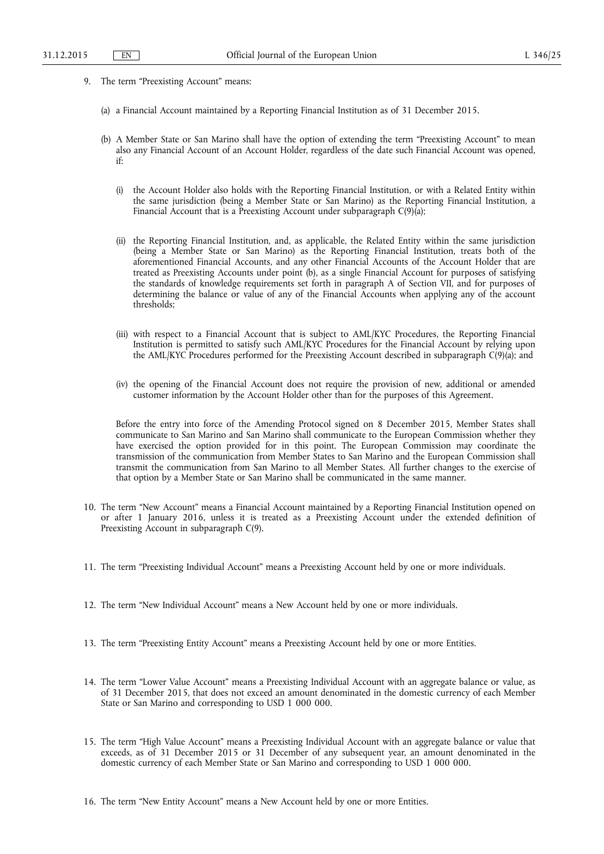- 9. The term "Preexisting Account" means:
	- (a) a Financial Account maintained by a Reporting Financial Institution as of 31 December 2015.
	- (b) A Member State or San Marino shall have the option of extending the term "Preexisting Account" to mean also any Financial Account of an Account Holder, regardless of the date such Financial Account was opened, if:
		- (i) the Account Holder also holds with the Reporting Financial Institution, or with a Related Entity within the same jurisdiction (being a Member State or San Marino) as the Reporting Financial Institution, a Financial Account that is a Preexisting Account under subparagraph  $C(9)(a)$ ;
		- (ii) the Reporting Financial Institution, and, as applicable, the Related Entity within the same jurisdiction (being a Member State or San Marino) as the Reporting Financial Institution, treats both of the aforementioned Financial Accounts, and any other Financial Accounts of the Account Holder that are treated as Preexisting Accounts under point (b), as a single Financial Account for purposes of satisfying the standards of knowledge requirements set forth in paragraph A of Section VII, and for purposes of determining the balance or value of any of the Financial Accounts when applying any of the account thresholds;
		- (iii) with respect to a Financial Account that is subject to AML/KYC Procedures, the Reporting Financial Institution is permitted to satisfy such AML/KYC Procedures for the Financial Account by relying upon the AML/KYC Procedures performed for the Preexisting Account described in subparagraph C(9)(a); and
		- (iv) the opening of the Financial Account does not require the provision of new, additional or amended customer information by the Account Holder other than for the purposes of this Agreement.

Before the entry into force of the Amending Protocol signed on 8 December 2015, Member States shall communicate to San Marino and San Marino shall communicate to the European Commission whether they have exercised the option provided for in this point. The European Commission may coordinate the transmission of the communication from Member States to San Marino and the European Commission shall transmit the communication from San Marino to all Member States. All further changes to the exercise of that option by a Member State or San Marino shall be communicated in the same manner.

- 10. The term "New Account" means a Financial Account maintained by a Reporting Financial Institution opened on or after 1 January 2016, unless it is treated as a Preexisting Account under the extended definition of Preexisting Account in subparagraph C(9).
- 11. The term "Preexisting Individual Account" means a Preexisting Account held by one or more individuals.
- 12. The term "New Individual Account" means a New Account held by one or more individuals.
- 13. The term "Preexisting Entity Account" means a Preexisting Account held by one or more Entities.
- 14. The term "Lower Value Account" means a Preexisting Individual Account with an aggregate balance or value, as of 31 December 2015, that does not exceed an amount denominated in the domestic currency of each Member State or San Marino and corresponding to USD 1 000 000.
- 15. The term "High Value Account" means a Preexisting Individual Account with an aggregate balance or value that exceeds, as of 31 December 2015 or 31 December of any subsequent year, an amount denominated in the domestic currency of each Member State or San Marino and corresponding to USD 1 000 000.
- 16. The term "New Entity Account" means a New Account held by one or more Entities.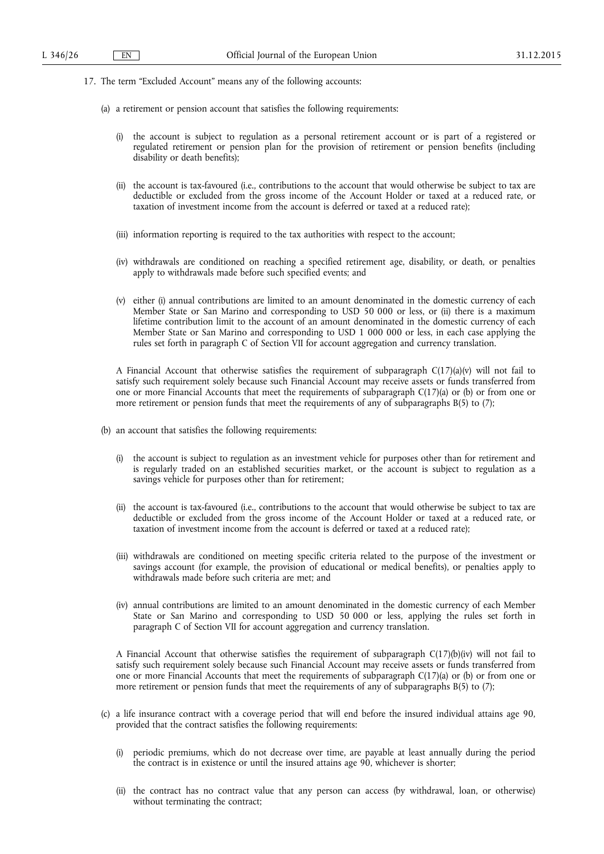#### 17. The term "Excluded Account" means any of the following accounts:

- (a) a retirement or pension account that satisfies the following requirements:
	- (i) the account is subject to regulation as a personal retirement account or is part of a registered or regulated retirement or pension plan for the provision of retirement or pension benefits (including disability or death benefits);
	- (ii) the account is tax-favoured (i.e., contributions to the account that would otherwise be subject to tax are deductible or excluded from the gross income of the Account Holder or taxed at a reduced rate, or taxation of investment income from the account is deferred or taxed at a reduced rate);
	- (iii) information reporting is required to the tax authorities with respect to the account;
	- (iv) withdrawals are conditioned on reaching a specified retirement age, disability, or death, or penalties apply to withdrawals made before such specified events; and
	- (v) either (i) annual contributions are limited to an amount denominated in the domestic currency of each Member State or San Marino and corresponding to USD 50 000 or less, or (ii) there is a maximum lifetime contribution limit to the account of an amount denominated in the domestic currency of each Member State or San Marino and corresponding to USD 1 000 000 or less, in each case applying the rules set forth in paragraph C of Section VII for account aggregation and currency translation.

A Financial Account that otherwise satisfies the requirement of subparagraph C(17)(a)(v) will not fail to satisfy such requirement solely because such Financial Account may receive assets or funds transferred from one or more Financial Accounts that meet the requirements of subparagraph  $C(17)(a)$  or (b) or from one or more retirement or pension funds that meet the requirements of any of subparagraphs B(5) to (7);

- (b) an account that satisfies the following requirements:
	- (i) the account is subject to regulation as an investment vehicle for purposes other than for retirement and is regularly traded on an established securities market, or the account is subject to regulation as a savings vehicle for purposes other than for retirement;
	- (ii) the account is tax-favoured (i.e., contributions to the account that would otherwise be subject to tax are deductible or excluded from the gross income of the Account Holder or taxed at a reduced rate, or taxation of investment income from the account is deferred or taxed at a reduced rate);
	- (iii) withdrawals are conditioned on meeting specific criteria related to the purpose of the investment or savings account (for example, the provision of educational or medical benefits), or penalties apply to withdrawals made before such criteria are met; and
	- (iv) annual contributions are limited to an amount denominated in the domestic currency of each Member State or San Marino and corresponding to USD 50 000 or less, applying the rules set forth in paragraph C of Section VII for account aggregation and currency translation.

A Financial Account that otherwise satisfies the requirement of subparagraph  $C(17)(b)(iv)$  will not fail to satisfy such requirement solely because such Financial Account may receive assets or funds transferred from one or more Financial Accounts that meet the requirements of subparagraph C(17)(a) or (b) or from one or more retirement or pension funds that meet the requirements of any of subparagraphs B(5) to (7);

- (c) a life insurance contract with a coverage period that will end before the insured individual attains age 90, provided that the contract satisfies the following requirements:
	- (i) periodic premiums, which do not decrease over time, are payable at least annually during the period the contract is in existence or until the insured attains age 90, whichever is shorter;
	- (ii) the contract has no contract value that any person can access (by withdrawal, loan, or otherwise) without terminating the contract;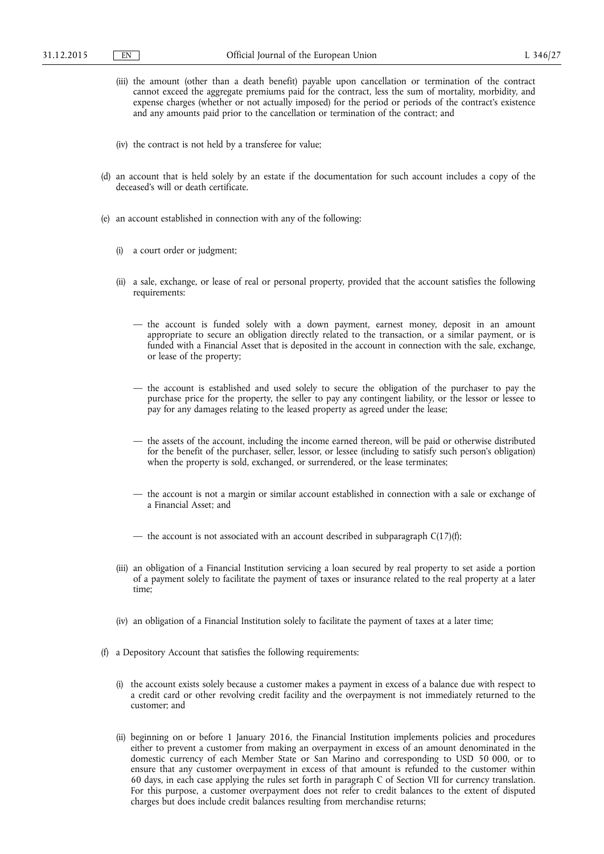- (iii) the amount (other than a death benefit) payable upon cancellation or termination of the contract cannot exceed the aggregate premiums paid for the contract, less the sum of mortality, morbidity, and expense charges (whether or not actually imposed) for the period or periods of the contract's existence and any amounts paid prior to the cancellation or termination of the contract; and
- (iv) the contract is not held by a transferee for value;
- (d) an account that is held solely by an estate if the documentation for such account includes a copy of the deceased's will or death certificate.
- (e) an account established in connection with any of the following:
	- (i) a court order or judgment;
	- (ii) a sale, exchange, or lease of real or personal property, provided that the account satisfies the following requirements:
		- the account is funded solely with a down payment, earnest money, deposit in an amount appropriate to secure an obligation directly related to the transaction, or a similar payment, or is funded with a Financial Asset that is deposited in the account in connection with the sale, exchange, or lease of the property;
		- the account is established and used solely to secure the obligation of the purchaser to pay the purchase price for the property, the seller to pay any contingent liability, or the lessor or lessee to pay for any damages relating to the leased property as agreed under the lease;
		- the assets of the account, including the income earned thereon, will be paid or otherwise distributed for the benefit of the purchaser, seller, lessor, or lessee (including to satisfy such person's obligation) when the property is sold, exchanged, or surrendered, or the lease terminates;
		- the account is not a margin or similar account established in connection with a sale or exchange of a Financial Asset; and
		- the account is not associated with an account described in subparagraph  $C(17)(f)$ ;
	- (iii) an obligation of a Financial Institution servicing a loan secured by real property to set aside a portion of a payment solely to facilitate the payment of taxes or insurance related to the real property at a later time;
	- (iv) an obligation of a Financial Institution solely to facilitate the payment of taxes at a later time;
- (f) a Depository Account that satisfies the following requirements:
	- (i) the account exists solely because a customer makes a payment in excess of a balance due with respect to a credit card or other revolving credit facility and the overpayment is not immediately returned to the customer; and
	- (ii) beginning on or before 1 January 2016, the Financial Institution implements policies and procedures either to prevent a customer from making an overpayment in excess of an amount denominated in the domestic currency of each Member State or San Marino and corresponding to USD 50 000, or to ensure that any customer overpayment in excess of that amount is refunded to the customer within 60 days, in each case applying the rules set forth in paragraph C of Section VII for currency translation. For this purpose, a customer overpayment does not refer to credit balances to the extent of disputed charges but does include credit balances resulting from merchandise returns;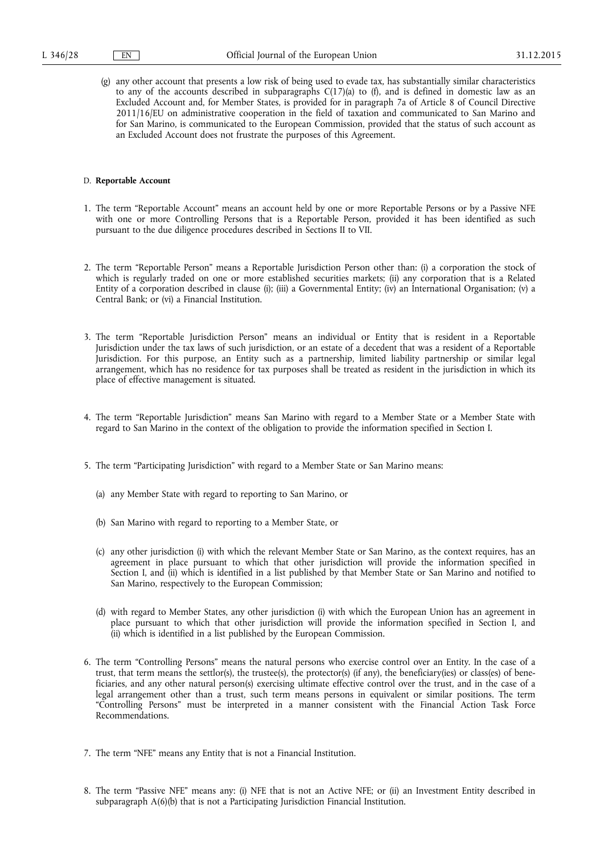(g) any other account that presents a low risk of being used to evade tax, has substantially similar characteristics to any of the accounts described in subparagraphs C(17)(a) to (f), and is defined in domestic law as an Excluded Account and, for Member States, is provided for in paragraph 7a of Article 8 of Council Directive 2011/16/EU on administrative cooperation in the field of taxation and communicated to San Marino and for San Marino, is communicated to the European Commission, provided that the status of such account as an Excluded Account does not frustrate the purposes of this Agreement.

### D. **Reportable Account**

- 1. The term "Reportable Account" means an account held by one or more Reportable Persons or by a Passive NFE with one or more Controlling Persons that is a Reportable Person, provided it has been identified as such pursuant to the due diligence procedures described in Sections II to VII.
- 2. The term "Reportable Person" means a Reportable Jurisdiction Person other than: (i) a corporation the stock of which is regularly traded on one or more established securities markets; (ii) any corporation that is a Related Entity of a corporation described in clause (i); (iii) a Governmental Entity; (iv) an International Organisation; (v) a Central Bank; or (vi) a Financial Institution.
- 3. The term "Reportable Jurisdiction Person" means an individual or Entity that is resident in a Reportable Jurisdiction under the tax laws of such jurisdiction, or an estate of a decedent that was a resident of a Reportable Jurisdiction. For this purpose, an Entity such as a partnership, limited liability partnership or similar legal arrangement, which has no residence for tax purposes shall be treated as resident in the jurisdiction in which its place of effective management is situated.
- 4. The term "Reportable Jurisdiction" means San Marino with regard to a Member State or a Member State with regard to San Marino in the context of the obligation to provide the information specified in Section I.
- 5. The term "Participating Jurisdiction" with regard to a Member State or San Marino means:
	- (a) any Member State with regard to reporting to San Marino, or
	- (b) San Marino with regard to reporting to a Member State, or
	- (c) any other jurisdiction (i) with which the relevant Member State or San Marino, as the context requires, has an agreement in place pursuant to which that other jurisdiction will provide the information specified in Section I, and (ii) which is identified in a list published by that Member State or San Marino and notified to San Marino, respectively to the European Commission;
	- (d) with regard to Member States, any other jurisdiction (i) with which the European Union has an agreement in place pursuant to which that other jurisdiction will provide the information specified in Section I, and (ii) which is identified in a list published by the European Commission.
- 6. The term "Controlling Persons" means the natural persons who exercise control over an Entity. In the case of a trust, that term means the settlor(s), the trustee(s), the protector(s) (if any), the beneficiary(ies) or class(es) of beneficiaries, and any other natural person(s) exercising ultimate effective control over the trust, and in the case of a legal arrangement other than a trust, such term means persons in equivalent or similar positions. The term "Controlling Persons" must be interpreted in a manner consistent with the Financial Action Task Force Recommendations.
- 7. The term "NFE" means any Entity that is not a Financial Institution.
- 8. The term "Passive NFE" means any: (i) NFE that is not an Active NFE; or (ii) an Investment Entity described in subparagraph A(6)(b) that is not a Participating Jurisdiction Financial Institution.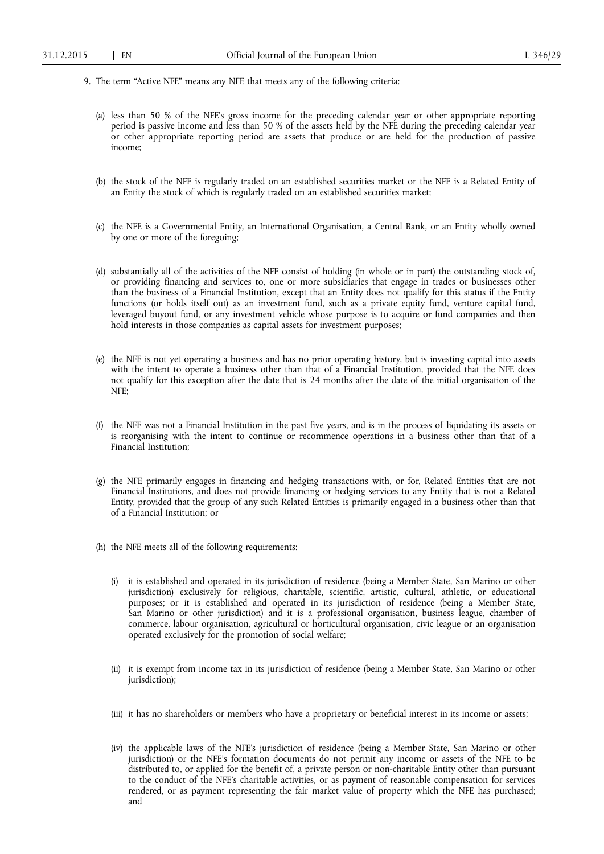- 9. The term "Active NFE" means any NFE that meets any of the following criteria:
	- (a) less than 50 % of the NFE's gross income for the preceding calendar year or other appropriate reporting period is passive income and less than 50 % of the assets held by the NFE during the preceding calendar year or other appropriate reporting period are assets that produce or are held for the production of passive income;
	- (b) the stock of the NFE is regularly traded on an established securities market or the NFE is a Related Entity of an Entity the stock of which is regularly traded on an established securities market;
	- (c) the NFE is a Governmental Entity, an International Organisation, a Central Bank, or an Entity wholly owned by one or more of the foregoing;
	- (d) substantially all of the activities of the NFE consist of holding (in whole or in part) the outstanding stock of, or providing financing and services to, one or more subsidiaries that engage in trades or businesses other than the business of a Financial Institution, except that an Entity does not qualify for this status if the Entity functions (or holds itself out) as an investment fund, such as a private equity fund, venture capital fund, leveraged buyout fund, or any investment vehicle whose purpose is to acquire or fund companies and then hold interests in those companies as capital assets for investment purposes;
	- (e) the NFE is not yet operating a business and has no prior operating history, but is investing capital into assets with the intent to operate a business other than that of a Financial Institution, provided that the NFE does not qualify for this exception after the date that is 24 months after the date of the initial organisation of the NFE;
	- (f) the NFE was not a Financial Institution in the past five years, and is in the process of liquidating its assets or is reorganising with the intent to continue or recommence operations in a business other than that of a Financial Institution;
	- (g) the NFE primarily engages in financing and hedging transactions with, or for, Related Entities that are not Financial Institutions, and does not provide financing or hedging services to any Entity that is not a Related Entity, provided that the group of any such Related Entities is primarily engaged in a business other than that of a Financial Institution; or
	- (h) the NFE meets all of the following requirements:
		- (i) it is established and operated in its jurisdiction of residence (being a Member State, San Marino or other jurisdiction) exclusively for religious, charitable, scientific, artistic, cultural, athletic, or educational purposes; or it is established and operated in its jurisdiction of residence (being a Member State, San Marino or other jurisdiction) and it is a professional organisation, business league, chamber of commerce, labour organisation, agricultural or horticultural organisation, civic league or an organisation operated exclusively for the promotion of social welfare;
		- (ii) it is exempt from income tax in its jurisdiction of residence (being a Member State, San Marino or other jurisdiction);
		- (iii) it has no shareholders or members who have a proprietary or beneficial interest in its income or assets;

(iv) the applicable laws of the NFE's jurisdiction of residence (being a Member State, San Marino or other jurisdiction) or the NFE's formation documents do not permit any income or assets of the NFE to be distributed to, or applied for the benefit of, a private person or non-charitable Entity other than pursuant to the conduct of the NFE's charitable activities, or as payment of reasonable compensation for services rendered, or as payment representing the fair market value of property which the NFE has purchased; and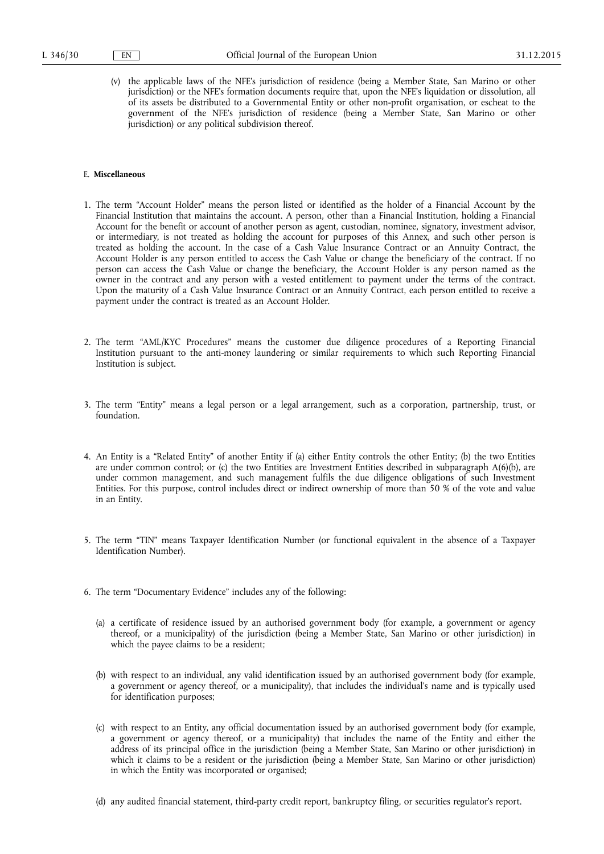(v) the applicable laws of the NFE's jurisdiction of residence (being a Member State, San Marino or other jurisdiction) or the NFE's formation documents require that, upon the NFE's liquidation or dissolution, all of its assets be distributed to a Governmental Entity or other non-profit organisation, or escheat to the government of the NFE's jurisdiction of residence (being a Member State, San Marino or other jurisdiction) or any political subdivision thereof.

# E. **Miscellaneous**

- 1. The term "Account Holder" means the person listed or identified as the holder of a Financial Account by the Financial Institution that maintains the account. A person, other than a Financial Institution, holding a Financial Account for the benefit or account of another person as agent, custodian, nominee, signatory, investment advisor, or intermediary, is not treated as holding the account for purposes of this Annex, and such other person is treated as holding the account. In the case of a Cash Value Insurance Contract or an Annuity Contract, the Account Holder is any person entitled to access the Cash Value or change the beneficiary of the contract. If no person can access the Cash Value or change the beneficiary, the Account Holder is any person named as the owner in the contract and any person with a vested entitlement to payment under the terms of the contract. Upon the maturity of a Cash Value Insurance Contract or an Annuity Contract, each person entitled to receive a payment under the contract is treated as an Account Holder.
- 2. The term "AML/KYC Procedures" means the customer due diligence procedures of a Reporting Financial Institution pursuant to the anti-money laundering or similar requirements to which such Reporting Financial Institution is subject.
- 3. The term "Entity" means a legal person or a legal arrangement, such as a corporation, partnership, trust, or foundation.
- 4. An Entity is a "Related Entity" of another Entity if (a) either Entity controls the other Entity; (b) the two Entities are under common control; or (c) the two Entities are Investment Entities described in subparagraph  $A(6)(b)$ , are under common management, and such management fulfils the due diligence obligations of such Investment Entities. For this purpose, control includes direct or indirect ownership of more than 50 % of the vote and value in an Entity.
- 5. The term "TIN" means Taxpayer Identification Number (or functional equivalent in the absence of a Taxpayer Identification Number).
- 6. The term "Documentary Evidence" includes any of the following:
	- (a) a certificate of residence issued by an authorised government body (for example, a government or agency thereof, or a municipality) of the jurisdiction (being a Member State, San Marino or other jurisdiction) in which the payee claims to be a resident;
	- (b) with respect to an individual, any valid identification issued by an authorised government body (for example, a government or agency thereof, or a municipality), that includes the individual's name and is typically used for identification purposes;
	- (c) with respect to an Entity, any official documentation issued by an authorised government body (for example, a government or agency thereof, or a municipality) that includes the name of the Entity and either the address of its principal office in the jurisdiction (being a Member State, San Marino or other jurisdiction) in which it claims to be a resident or the jurisdiction (being a Member State, San Marino or other jurisdiction) in which the Entity was incorporated or organised;
	- (d) any audited financial statement, third-party credit report, bankruptcy filing, or securities regulator's report.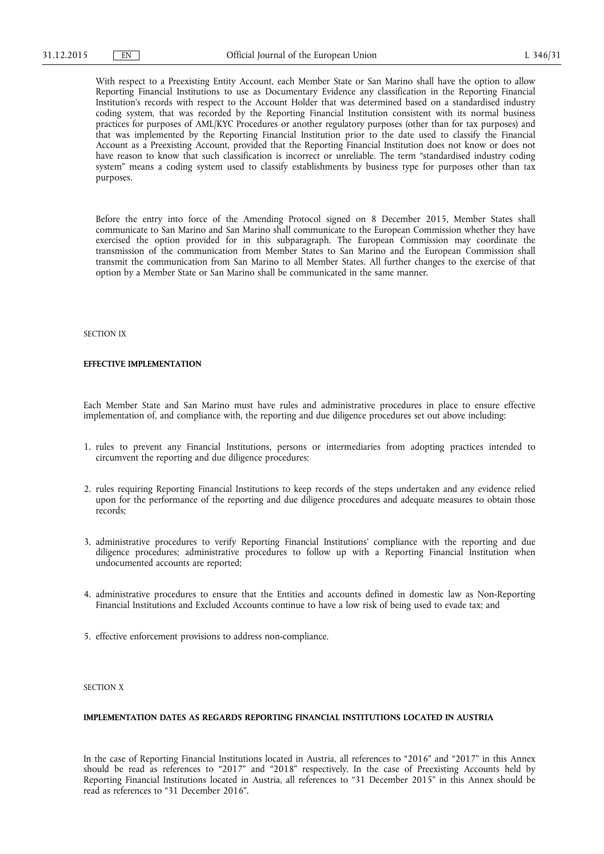With respect to a Preexisting Entity Account, each Member State or San Marino shall have the option to allow Reporting Financial Institutions to use as Documentary Evidence any classification in the Reporting Financial Institution's records with respect to the Account Holder that was determined based on a standardised industry coding system, that was recorded by the Reporting Financial Institution consistent with its normal business practices for purposes of AML/KYC Procedures or another regulatory purposes (other than for tax purposes) and that was implemented by the Reporting Financial Institution prior to the date used to classify the Financial Account as a Preexisting Account, provided that the Reporting Financial Institution does not know or does not have reason to know that such classification is incorrect or unreliable. The term "standardised industry coding system" means a coding system used to classify establishments by business type for purposes other than tax purposes.

Before the entry into force of the Amending Protocol signed on 8 December 2015, Member States shall communicate to San Marino and San Marino shall communicate to the European Commission whether they have exercised the option provided for in this subparagraph. The European Commission may coordinate the transmission of the communication from Member States to San Marino and the European Commission shall transmit the communication from San Marino to all Member States. All further changes to the exercise of that option by a Member State or San Marino shall be communicated in the same manner.

### SECTION IX

## **EFFECTIVE IMPLEMENTATION**

Each Member State and San Marino must have rules and administrative procedures in place to ensure effective implementation of, and compliance with, the reporting and due diligence procedures set out above including:

- 1. rules to prevent any Financial Institutions, persons or intermediaries from adopting practices intended to circumvent the reporting and due diligence procedures;
- 2. rules requiring Reporting Financial Institutions to keep records of the steps undertaken and any evidence relied upon for the performance of the reporting and due diligence procedures and adequate measures to obtain those records;
- 3. administrative procedures to verify Reporting Financial Institutions' compliance with the reporting and due diligence procedures; administrative procedures to follow up with a Reporting Financial Institution when undocumented accounts are reported;
- 4. administrative procedures to ensure that the Entities and accounts defined in domestic law as Non-Reporting Financial Institutions and Excluded Accounts continue to have a low risk of being used to evade tax; and
- 5. effective enforcement provisions to address non-compliance.

SECTION X

# **IMPLEMENTATION DATES AS REGARDS REPORTING FINANCIAL INSTITUTIONS LOCATED IN AUSTRIA**

In the case of Reporting Financial Institutions located in Austria, all references to "2016" and "2017" in this Annex should be read as references to "2017" and "2018" respectively. In the case of Preexisting Accounts held by Reporting Financial Institutions located in Austria, all references to "31 December 2015" in this Annex should be read as references to "31 December 2016".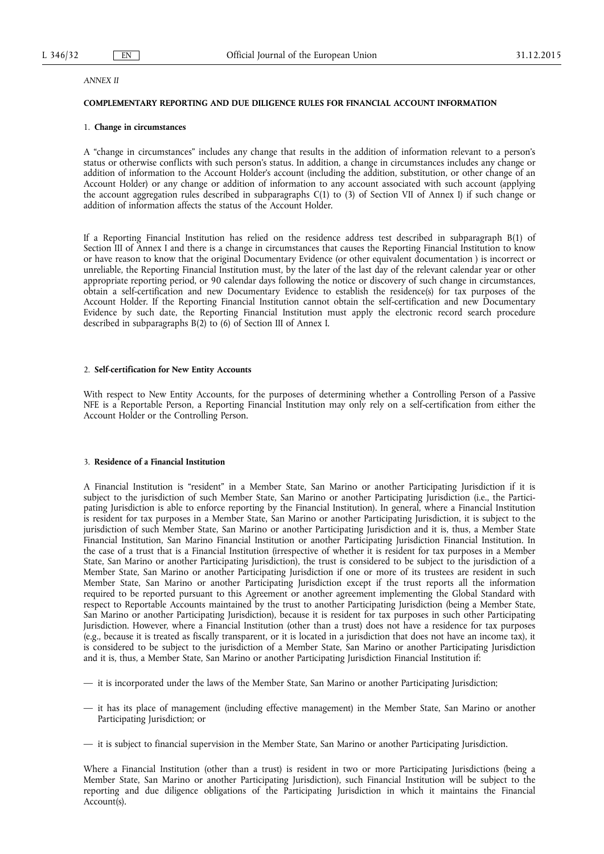#### *ANNEX II*

# **COMPLEMENTARY REPORTING AND DUE DILIGENCE RULES FOR FINANCIAL ACCOUNT INFORMATION**

#### 1. **Change in circumstances**

A "change in circumstances" includes any change that results in the addition of information relevant to a person's status or otherwise conflicts with such person's status. In addition, a change in circumstances includes any change or addition of information to the Account Holder's account (including the addition, substitution, or other change of an Account Holder) or any change or addition of information to any account associated with such account (applying the account aggregation rules described in subparagraphs C(1) to (3) of Section VII of Annex I) if such change or addition of information affects the status of the Account Holder.

If a Reporting Financial Institution has relied on the residence address test described in subparagraph B(1) of Section III of Annex I and there is a change in circumstances that causes the Reporting Financial Institution to know or have reason to know that the original Documentary Evidence (or other equivalent documentation ) is incorrect or unreliable, the Reporting Financial Institution must, by the later of the last day of the relevant calendar year or other appropriate reporting period, or 90 calendar days following the notice or discovery of such change in circumstances, obtain a self-certification and new Documentary Evidence to establish the residence(s) for tax purposes of the Account Holder. If the Reporting Financial Institution cannot obtain the self-certification and new Documentary Evidence by such date, the Reporting Financial Institution must apply the electronic record search procedure described in subparagraphs B(2) to (6) of Section III of Annex I.

#### 2. **Self-certification for New Entity Accounts**

With respect to New Entity Accounts, for the purposes of determining whether a Controlling Person of a Passive NFE is a Reportable Person, a Reporting Financial Institution may only rely on a self-certification from either the Account Holder or the Controlling Person.

## 3. **Residence of a Financial Institution**

A Financial Institution is "resident" in a Member State, San Marino or another Participating Jurisdiction if it is subject to the jurisdiction of such Member State, San Marino or another Participating Jurisdiction (i.e., the Participating Jurisdiction is able to enforce reporting by the Financial Institution). In general, where a Financial Institution is resident for tax purposes in a Member State, San Marino or another Participating Jurisdiction, it is subject to the jurisdiction of such Member State, San Marino or another Participating Jurisdiction and it is, thus, a Member State Financial Institution, San Marino Financial Institution or another Participating Jurisdiction Financial Institution. In the case of a trust that is a Financial Institution (irrespective of whether it is resident for tax purposes in a Member State, San Marino or another Participating Jurisdiction), the trust is considered to be subject to the jurisdiction of a Member State, San Marino or another Participating Jurisdiction if one or more of its trustees are resident in such Member State, San Marino or another Participating Jurisdiction except if the trust reports all the information required to be reported pursuant to this Agreement or another agreement implementing the Global Standard with respect to Reportable Accounts maintained by the trust to another Participating Jurisdiction (being a Member State, San Marino or another Participating Jurisdiction), because it is resident for tax purposes in such other Participating Jurisdiction. However, where a Financial Institution (other than a trust) does not have a residence for tax purposes (e.g., because it is treated as fiscally transparent, or it is located in a jurisdiction that does not have an income tax), it is considered to be subject to the jurisdiction of a Member State, San Marino or another Participating Jurisdiction and it is, thus, a Member State, San Marino or another Participating Jurisdiction Financial Institution if:

- it is incorporated under the laws of the Member State, San Marino or another Participating Jurisdiction;
- it has its place of management (including effective management) in the Member State, San Marino or another Participating Jurisdiction; or
- it is subject to financial supervision in the Member State, San Marino or another Participating Jurisdiction.

Where a Financial Institution (other than a trust) is resident in two or more Participating Jurisdictions (being a Member State, San Marino or another Participating Jurisdiction), such Financial Institution will be subject to the reporting and due diligence obligations of the Participating Jurisdiction in which it maintains the Financial Account(s).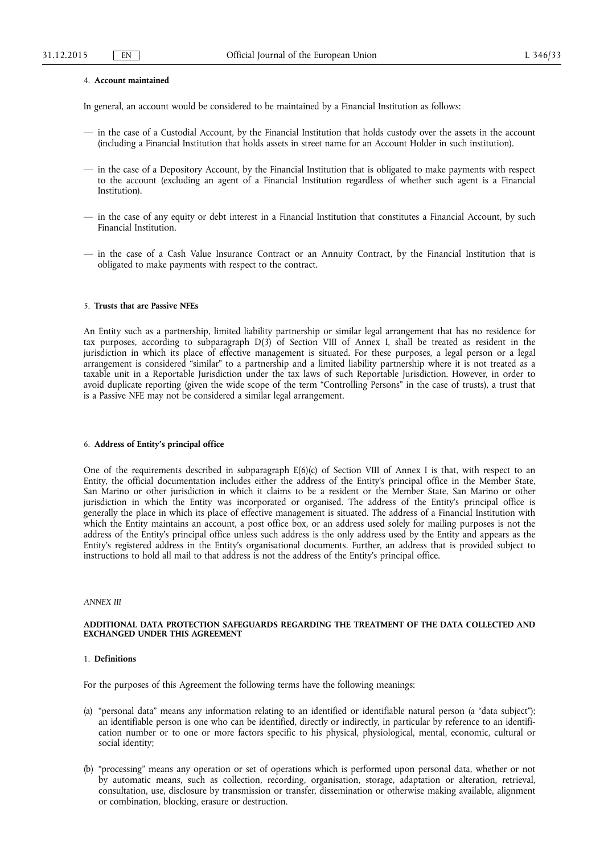#### 4. **Account maintained**

In general, an account would be considered to be maintained by a Financial Institution as follows:

- in the case of a Custodial Account, by the Financial Institution that holds custody over the assets in the account (including a Financial Institution that holds assets in street name for an Account Holder in such institution).
- in the case of a Depository Account, by the Financial Institution that is obligated to make payments with respect to the account (excluding an agent of a Financial Institution regardless of whether such agent is a Financial Institution).
- in the case of any equity or debt interest in a Financial Institution that constitutes a Financial Account, by such Financial Institution.
- in the case of a Cash Value Insurance Contract or an Annuity Contract, by the Financial Institution that is obligated to make payments with respect to the contract.

### 5. **Trusts that are Passive NFEs**

An Entity such as a partnership, limited liability partnership or similar legal arrangement that has no residence for tax purposes, according to subparagraph D(3) of Section VIII of Annex I, shall be treated as resident in the jurisdiction in which its place of effective management is situated. For these purposes, a legal person or a legal arrangement is considered "similar" to a partnership and a limited liability partnership where it is not treated as a taxable unit in a Reportable Jurisdiction under the tax laws of such Reportable Jurisdiction. However, in order to avoid duplicate reporting (given the wide scope of the term "Controlling Persons" in the case of trusts), a trust that is a Passive NFE may not be considered a similar legal arrangement.

#### 6. **Address of Entity's principal office**

One of the requirements described in subparagraph E(6)(c) of Section VIII of Annex I is that, with respect to an Entity, the official documentation includes either the address of the Entity's principal office in the Member State, San Marino or other jurisdiction in which it claims to be a resident or the Member State, San Marino or other jurisdiction in which the Entity was incorporated or organised. The address of the Entity's principal office is generally the place in which its place of effective management is situated. The address of a Financial Institution with which the Entity maintains an account, a post office box, or an address used solely for mailing purposes is not the address of the Entity's principal office unless such address is the only address used by the Entity and appears as the Entity's registered address in the Entity's organisational documents. Further, an address that is provided subject to instructions to hold all mail to that address is not the address of the Entity's principal office.

#### *ANNEX III*

## **ADDITIONAL DATA PROTECTION SAFEGUARDS REGARDING THE TREATMENT OF THE DATA COLLECTED AND EXCHANGED UNDER THIS AGREEMENT**

# 1. **Definitions**

For the purposes of this Agreement the following terms have the following meanings:

- (a) "personal data" means any information relating to an identified or identifiable natural person (a "data subject"); an identifiable person is one who can be identified, directly or indirectly, in particular by reference to an identification number or to one or more factors specific to his physical, physiological, mental, economic, cultural or social identity;
- (b) "processing" means any operation or set of operations which is performed upon personal data, whether or not by automatic means, such as collection, recording, organisation, storage, adaptation or alteration, retrieval, consultation, use, disclosure by transmission or transfer, dissemination or otherwise making available, alignment or combination, blocking, erasure or destruction.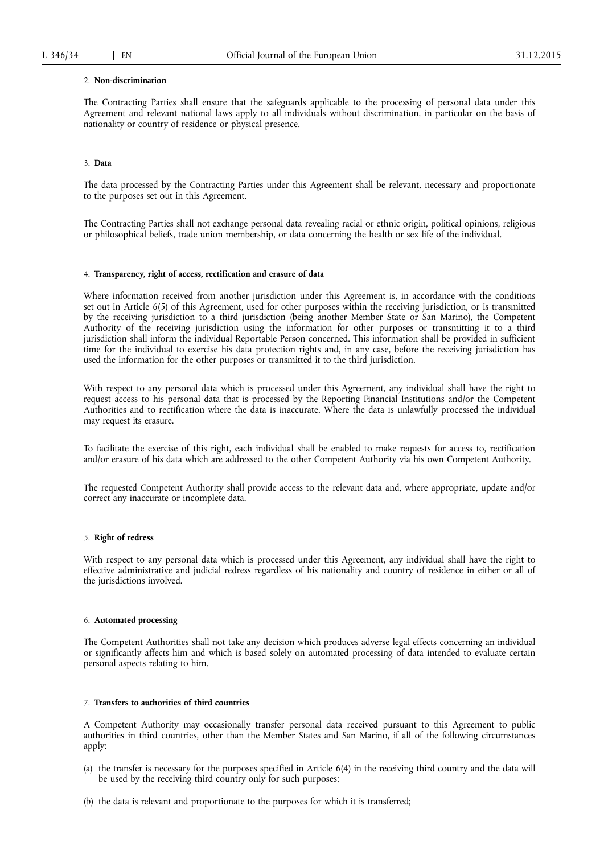#### 2. **Non-discrimination**

The Contracting Parties shall ensure that the safeguards applicable to the processing of personal data under this Agreement and relevant national laws apply to all individuals without discrimination, in particular on the basis of nationality or country of residence or physical presence.

## 3. **Data**

The data processed by the Contracting Parties under this Agreement shall be relevant, necessary and proportionate to the purposes set out in this Agreement.

The Contracting Parties shall not exchange personal data revealing racial or ethnic origin, political opinions, religious or philosophical beliefs, trade union membership, or data concerning the health or sex life of the individual.

## 4. **Transparency, right of access, rectification and erasure of data**

Where information received from another jurisdiction under this Agreement is, in accordance with the conditions set out in Article 6(5) of this Agreement, used for other purposes within the receiving jurisdiction, or is transmitted by the receiving jurisdiction to a third jurisdiction (being another Member State or San Marino), the Competent Authority of the receiving jurisdiction using the information for other purposes or transmitting it to a third jurisdiction shall inform the individual Reportable Person concerned. This information shall be provided in sufficient time for the individual to exercise his data protection rights and, in any case, before the receiving jurisdiction has used the information for the other purposes or transmitted it to the third jurisdiction.

With respect to any personal data which is processed under this Agreement, any individual shall have the right to request access to his personal data that is processed by the Reporting Financial Institutions and/or the Competent Authorities and to rectification where the data is inaccurate. Where the data is unlawfully processed the individual may request its erasure.

To facilitate the exercise of this right, each individual shall be enabled to make requests for access to, rectification and/or erasure of his data which are addressed to the other Competent Authority via his own Competent Authority.

The requested Competent Authority shall provide access to the relevant data and, where appropriate, update and/or correct any inaccurate or incomplete data.

## 5. **Right of redress**

With respect to any personal data which is processed under this Agreement, any individual shall have the right to effective administrative and judicial redress regardless of his nationality and country of residence in either or all of the jurisdictions involved.

#### 6. **Automated processing**

The Competent Authorities shall not take any decision which produces adverse legal effects concerning an individual or significantly affects him and which is based solely on automated processing of data intended to evaluate certain personal aspects relating to him.

## 7. **Transfers to authorities of third countries**

A Competent Authority may occasionally transfer personal data received pursuant to this Agreement to public authorities in third countries, other than the Member States and San Marino, if all of the following circumstances apply:

- (a) the transfer is necessary for the purposes specified in Article 6(4) in the receiving third country and the data will be used by the receiving third country only for such purposes;
- (b) the data is relevant and proportionate to the purposes for which it is transferred;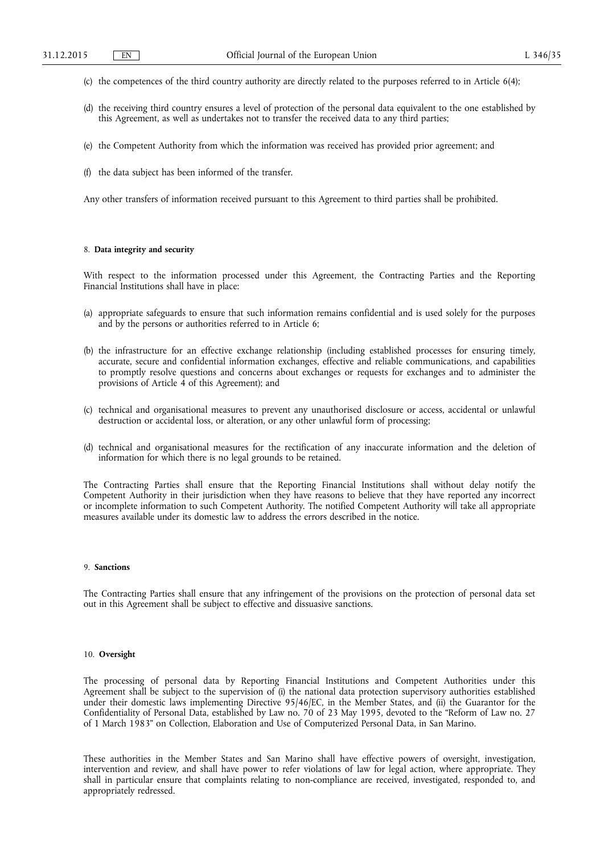- (c) the competences of the third country authority are directly related to the purposes referred to in Article 6(4);
- (d) the receiving third country ensures a level of protection of the personal data equivalent to the one established by this Agreement, as well as undertakes not to transfer the received data to any third parties;
- (e) the Competent Authority from which the information was received has provided prior agreement; and
- (f) the data subject has been informed of the transfer.

Any other transfers of information received pursuant to this Agreement to third parties shall be prohibited.

### 8. **Data integrity and security**

With respect to the information processed under this Agreement, the Contracting Parties and the Reporting Financial Institutions shall have in place:

- (a) appropriate safeguards to ensure that such information remains confidential and is used solely for the purposes and by the persons or authorities referred to in Article 6;
- (b) the infrastructure for an effective exchange relationship (including established processes for ensuring timely, accurate, secure and confidential information exchanges, effective and reliable communications, and capabilities to promptly resolve questions and concerns about exchanges or requests for exchanges and to administer the provisions of Article 4 of this Agreement); and
- (c) technical and organisational measures to prevent any unauthorised disclosure or access, accidental or unlawful destruction or accidental loss, or alteration, or any other unlawful form of processing;
- (d) technical and organisational measures for the rectification of any inaccurate information and the deletion of information for which there is no legal grounds to be retained.

The Contracting Parties shall ensure that the Reporting Financial Institutions shall without delay notify the Competent Authority in their jurisdiction when they have reasons to believe that they have reported any incorrect or incomplete information to such Competent Authority. The notified Competent Authority will take all appropriate measures available under its domestic law to address the errors described in the notice.

## 9. **Sanctions**

The Contracting Parties shall ensure that any infringement of the provisions on the protection of personal data set out in this Agreement shall be subject to effective and dissuasive sanctions.

## 10. **Oversight**

The processing of personal data by Reporting Financial Institutions and Competent Authorities under this Agreement shall be subject to the supervision of (i) the national data protection supervisory authorities established under their domestic laws implementing Directive 95/46/EC, in the Member States, and (ii) the Guarantor for the Confidentiality of Personal Data, established by Law no. 70 of 23 May 1995, devoted to the "Reform of Law no. 27 of 1 March 1983" on Collection, Elaboration and Use of Computerized Personal Data, in San Marino.

These authorities in the Member States and San Marino shall have effective powers of oversight, investigation, intervention and review, and shall have power to refer violations of law for legal action, where appropriate. They shall in particular ensure that complaints relating to non-compliance are received, investigated, responded to, and appropriately redressed.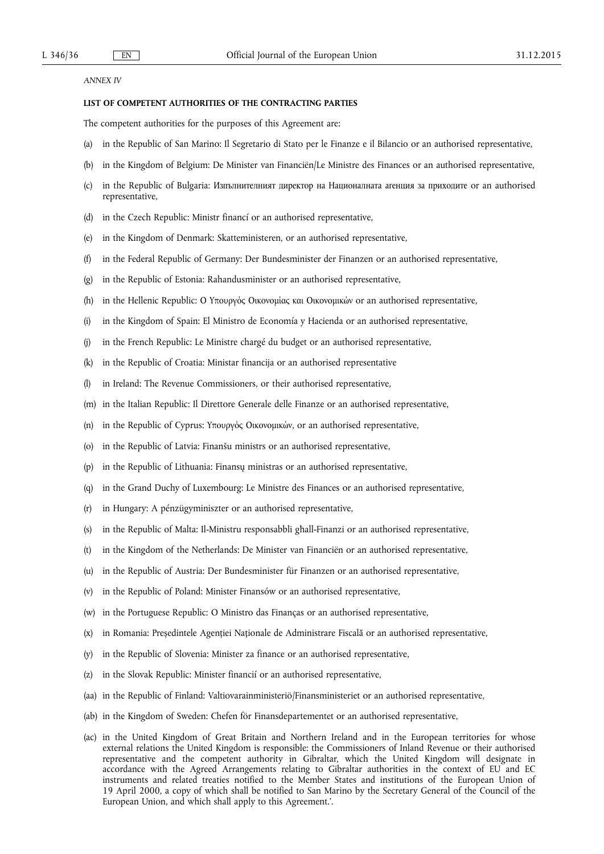### *ANNEX IV*

## **LIST OF COMPETENT AUTHORITIES OF THE CONTRACTING PARTIES**

The competent authorities for the purposes of this Agreement are:

- (a) in the Republic of San Marino: Il Segretario di Stato per le Finanze e il Bilancio or an authorised representative,
- (b) in the Kingdom of Belgium: De Minister van Financiën/Le Ministre des Finances or an authorised representative,
- (c) in the Republic of Bulgaria: Изпълнителният директор на Националната агенция за приходите or an authorised representative,
- (d) in the Czech Republic: Ministr financí or an authorised representative,
- (e) in the Kingdom of Denmark: Skatteministeren, or an authorised representative,
- (f) in the Federal Republic of Germany: Der Bundesminister der Finanzen or an authorised representative,
- (g) in the Republic of Estonia: Rahandusminister or an authorised representative,
- (h) in the Hellenic Republic: Ο Υπουργός Οικονομίας και Οικονομικών or an authorised representative,
- (i) in the Kingdom of Spain: El Ministro de Economía y Hacienda or an authorised representative,
- (j) in the French Republic: Le Ministre chargé du budget or an authorised representative,
- (k) in the Republic of Croatia: Ministar financija or an authorised representative
- (l) in Ireland: The Revenue Commissioners, or their authorised representative,
- (m) in the Italian Republic: Il Direttore Generale delle Finanze or an authorised representative,
- (n) in the Republic of Cyprus: Υπουργός Οικονομικών, or an authorised representative,
- (o) in the Republic of Latvia: Finanšu ministrs or an authorised representative,
- (p) in the Republic of Lithuania: Finansų ministras or an authorised representative,
- (q) in the Grand Duchy of Luxembourg: Le Ministre des Finances or an authorised representative,
- (r) in Hungary: A pénzügyminiszter or an authorised representative,
- (s) in the Republic of Malta: Il-Ministru responsabbli għall-Finanzi or an authorised representative,
- (t) in the Kingdom of the Netherlands: De Minister van Financiën or an authorised representative,
- (u) in the Republic of Austria: Der Bundesminister für Finanzen or an authorised representative,
- (v) in the Republic of Poland: Minister Finansów or an authorised representative,
- (w) in the Portuguese Republic: O Ministro das Finanças or an authorised representative,
- (x) in Romania: Președintele Agenției Naționale de Administrare Fiscală or an authorised representative,
- (y) in the Republic of Slovenia: Minister za finance or an authorised representative,
- (z) in the Slovak Republic: Minister financií or an authorised representative,
- (aa) in the Republic of Finland: Valtiovarainministeriö/Finansministeriet or an authorised representative,
- (ab) in the Kingdom of Sweden: Chefen för Finansdepartementet or an authorised representative,
- (ac) in the United Kingdom of Great Britain and Northern Ireland and in the European territories for whose external relations the United Kingdom is responsible: the Commissioners of Inland Revenue or their authorised representative and the competent authority in Gibraltar, which the United Kingdom will designate in accordance with the Agreed Arrangements relating to Gibraltar authorities in the context of EU and EC instruments and related treaties notified to the Member States and institutions of the European Union of 19 April 2000, a copy of which shall be notified to San Marino by the Secretary General of the Council of the European Union, and which shall apply to this Agreement.'.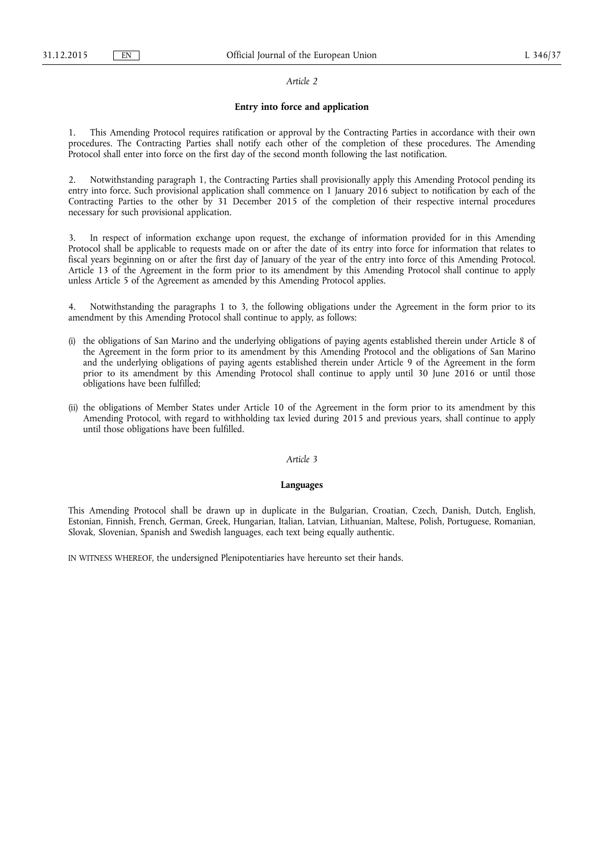#### *Article 2*

## **Entry into force and application**

1. This Amending Protocol requires ratification or approval by the Contracting Parties in accordance with their own procedures. The Contracting Parties shall notify each other of the completion of these procedures. The Amending Protocol shall enter into force on the first day of the second month following the last notification.

2. Notwithstanding paragraph 1, the Contracting Parties shall provisionally apply this Amending Protocol pending its entry into force. Such provisional application shall commence on 1 January 2016 subject to notification by each of the Contracting Parties to the other by 31 December 2015 of the completion of their respective internal procedures necessary for such provisional application.

In respect of information exchange upon request, the exchange of information provided for in this Amending Protocol shall be applicable to requests made on or after the date of its entry into force for information that relates to fiscal years beginning on or after the first day of January of the year of the entry into force of this Amending Protocol. Article 13 of the Agreement in the form prior to its amendment by this Amending Protocol shall continue to apply unless Article 5 of the Agreement as amended by this Amending Protocol applies.

4. Notwithstanding the paragraphs 1 to 3, the following obligations under the Agreement in the form prior to its amendment by this Amending Protocol shall continue to apply, as follows:

- (i) the obligations of San Marino and the underlying obligations of paying agents established therein under Article 8 of the Agreement in the form prior to its amendment by this Amending Protocol and the obligations of San Marino and the underlying obligations of paying agents established therein under Article 9 of the Agreement in the form prior to its amendment by this Amending Protocol shall continue to apply until 30 June 2016 or until those obligations have been fulfilled;
- (ii) the obligations of Member States under Article 10 of the Agreement in the form prior to its amendment by this Amending Protocol, with regard to withholding tax levied during 2015 and previous years, shall continue to apply until those obligations have been fulfilled.

## *Article 3*

## **Languages**

This Amending Protocol shall be drawn up in duplicate in the Bulgarian, Croatian, Czech, Danish, Dutch, English, Estonian, Finnish, French, German, Greek, Hungarian, Italian, Latvian, Lithuanian, Maltese, Polish, Portuguese, Romanian, Slovak, Slovenian, Spanish and Swedish languages, each text being equally authentic.

IN WITNESS WHEREOF, the undersigned Plenipotentiaries have hereunto set their hands.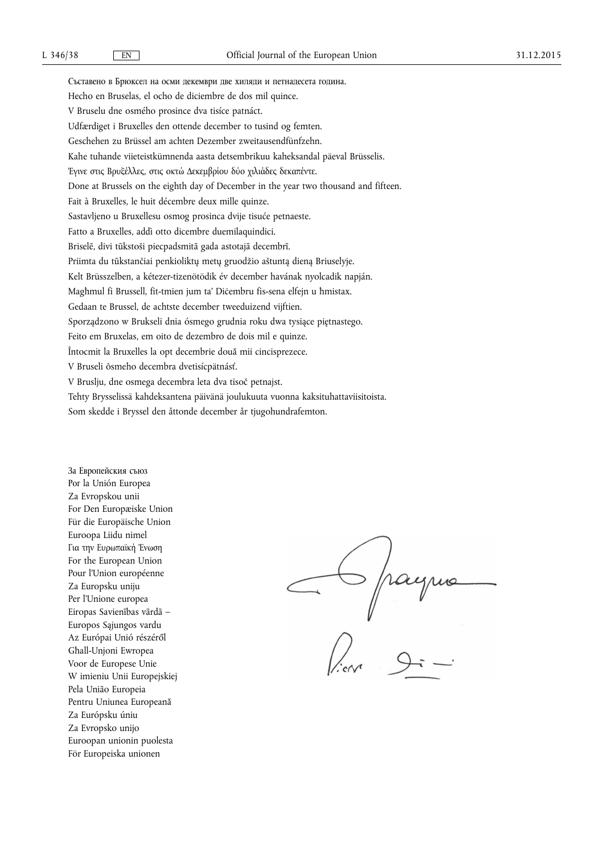Съставено в Брюксел на осми декември две хиляди и петнадесета година. Hecho en Bruselas, el ocho de diciembre de dos mil quince. V Bruselu dne osmého prosince dva tisíce patnáct. Udfærdiget i Bruxelles den ottende december to tusind og femten. Geschehen zu Brüssel am achten Dezember zweitausendfünfzehn. Kahe tuhande viieteistkümnenda aasta detsembrikuu kaheksandal päeval Brüsselis. Έγινε στις Βρυξέλλες, στις οκτώ Δεκεμβρίου δύο χιλιάδες δεκαπέντε. Done at Brussels on the eighth day of December in the year two thousand and fifteen. Fait à Bruxelles, le huit décembre deux mille quinze. Sastavljeno u Bruxellesu osmog prosinca dvije tisuće petnaeste. Fatto a Bruxelles, addì otto dicembre duemilaquindici. Briselē, divi tūkstoši piecpadsmitā gada astotajā decembrī. Priimta du tūkstančiai penkioliktų metų gruodžio aštuntą dieną Briuselyje. Kelt Brüsszelben, a kétezer-tizenötödik év december havának nyolcadik napján. Magħmul fi Brussell, fit-tmien jum ta' Diċembru fis-sena elfejn u ħmistax. Gedaan te Brussel, de achtste december tweeduizend vijftien. Sporządzono w Brukseli dnia ósmego grudnia roku dwa tysiące piętnastego. Feito em Bruxelas, em oito de dezembro de dois mil e quinze. Întocmit la Bruxelles la opt decembrie două mii cincisprezece. V Bruseli ôsmeho decembra dvetisícpätnásť. V Bruslju, dne osmega decembra leta dva tisoč petnajst. Tehty Brysselissä kahdeksantena päivänä joulukuuta vuonna kaksituhattaviisitoista. Som skedde i Bryssel den åttonde december år tjugohundrafemton.

За Европейския съюз Рог la Unión Europea Za Evropskou unii For Den Europæiske Union Für die Europäische Union Euroopa Liidu nimel Για την Ευρωπαϊκή Ένωση For the European Union Pour l'Union européenne Za Europsku uniju Per l'Unione europea Eiropas Savienības vārdā – Europos Sąjungos vardu Az Európai Unió részéről Għall-Unjoni Ewropea Voor de Europese Unie W imieniu Unii Europejskiej Pela União Europeia Pentru Uniunea Europeană Za Európsku úniu Za Evropsko unijo Euroopan unionin puolesta För Europeiska unionen

Grayne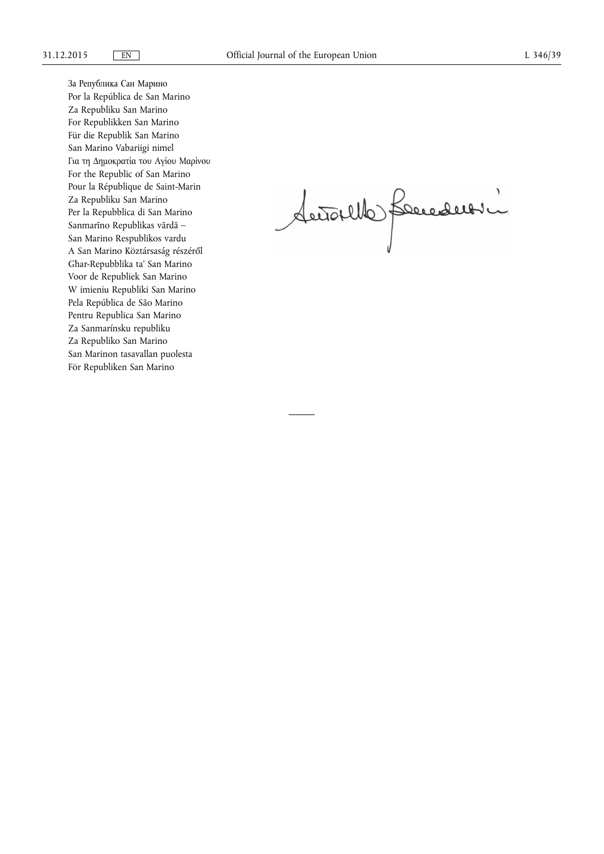За Република Сан Марино<br>Por la República de San Marino Za Republiku San Marino For Republikken San Marino Für die Republik San Marino San Marino Vabariigi nimel Για τη Δημοκρατία του Αγίου Μαρίνου For the Republic of San Marino Pour la République de Saint-Marin Za Republiku San Marino Per la Repubblica di San Marino Sanmarīno Republikas vārdā – San Marino Respublikos vardu A San Marino Köztársaság részéről Għar-Repubblika ta' San Marino Voor de Republiek San Marino W imieniu Republiki San Marino Pela República de São Marino Pentru Republica San Marino Za Sanmarínsku republiku Za Republiko San Marino San Marinon tasavallan puolesta För Republiken San Marino

deroille femandier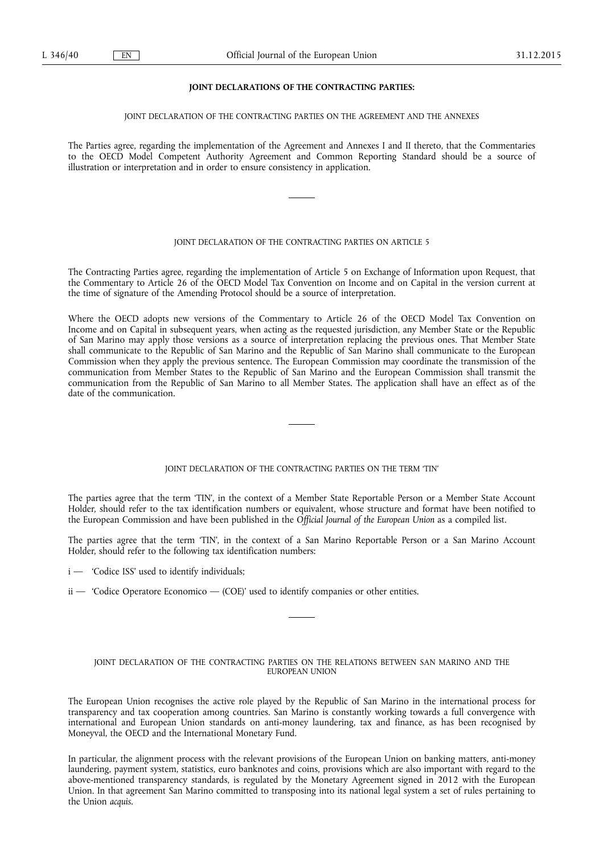# **JOINT DECLARATIONS OF THE CONTRACTING PARTIES:**

JOINT DECLARATION OF THE CONTRACTING PARTIES ON THE AGREEMENT AND THE ANNEXES

The Parties agree, regarding the implementation of the Agreement and Annexes I and II thereto, that the Commentaries to the OECD Model Competent Authority Agreement and Common Reporting Standard should be a source of illustration or interpretation and in order to ensure consistency in application.

## JOINT DECLARATION OF THE CONTRACTING PARTIES ON ARTICLE 5

The Contracting Parties agree, regarding the implementation of Article 5 on Exchange of Information upon Request, that the Commentary to Article 26 of the OECD Model Tax Convention on Income and on Capital in the version current at the time of signature of the Amending Protocol should be a source of interpretation.

Where the OECD adopts new versions of the Commentary to Article 26 of the OECD Model Tax Convention on Income and on Capital in subsequent years, when acting as the requested jurisdiction, any Member State or the Republic of San Marino may apply those versions as a source of interpretation replacing the previous ones. That Member State shall communicate to the Republic of San Marino and the Republic of San Marino shall communicate to the European Commission when they apply the previous sentence. The European Commission may coordinate the transmission of the communication from Member States to the Republic of San Marino and the European Commission shall transmit the communication from the Republic of San Marino to all Member States. The application shall have an effect as of the date of the communication.

### JOINT DECLARATION OF THE CONTRACTING PARTIES ON THE TERM 'TIN'

The parties agree that the term 'TIN', in the context of a Member State Reportable Person or a Member State Account Holder, should refer to the tax identification numbers or equivalent, whose structure and format have been notified to the European Commission and have been published in the *Official Journal of the European Union* as a compiled list.

The parties agree that the term 'TIN', in the context of a San Marino Reportable Person or a San Marino Account Holder, should refer to the following tax identification numbers:

i - 'Codice ISS' used to identify individuals;

ii — 'Codice Operatore Economico — (COE)' used to identify companies or other entities.

# JOINT DECLARATION OF THE CONTRACTING PARTIES ON THE RELATIONS BETWEEN SAN MARINO AND THE EUROPEAN UNION

The European Union recognises the active role played by the Republic of San Marino in the international process for transparency and tax cooperation among countries. San Marino is constantly working towards a full convergence with international and European Union standards on anti-money laundering, tax and finance, as has been recognised by Moneyval, the OECD and the International Monetary Fund.

In particular, the alignment process with the relevant provisions of the European Union on banking matters, anti-money laundering, payment system, statistics, euro banknotes and coins, provisions which are also important with regard to the above-mentioned transparency standards, is regulated by the Monetary Agreement signed in 2012 with the European Union. In that agreement San Marino committed to transposing into its national legal system a set of rules pertaining to the Union *acquis*.